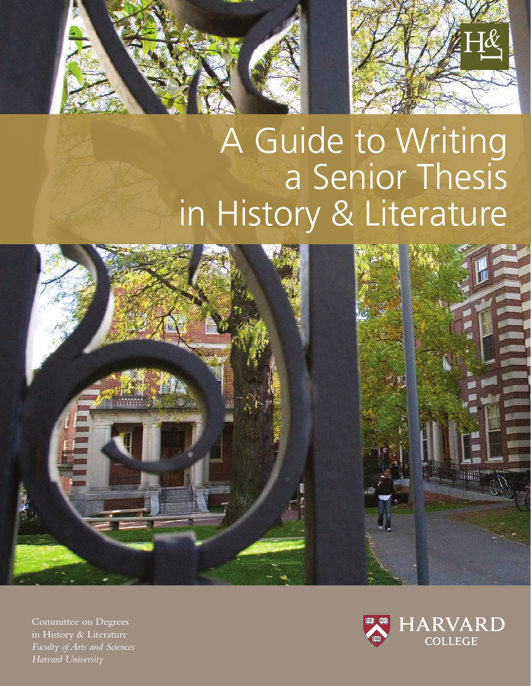

# A Guide to Writing a Senior Thesis in History & Literature



Committee on Degrees in History & Literature *Faculty of Arts and Sciences Harvard University*

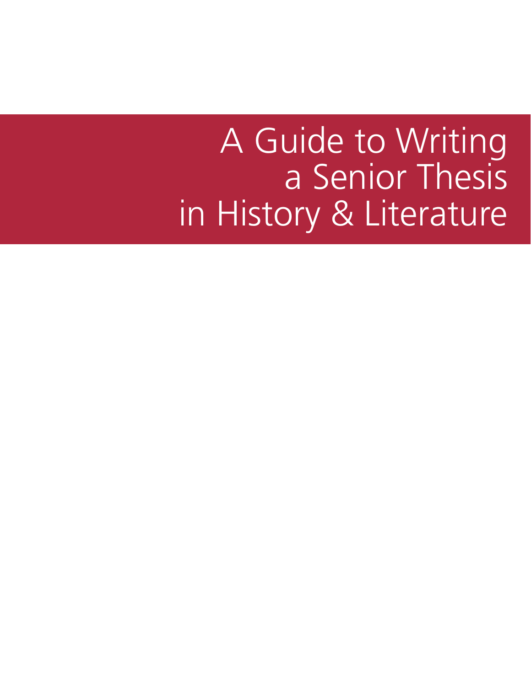# A Guide to Writing a Senior Thesis in History & Literature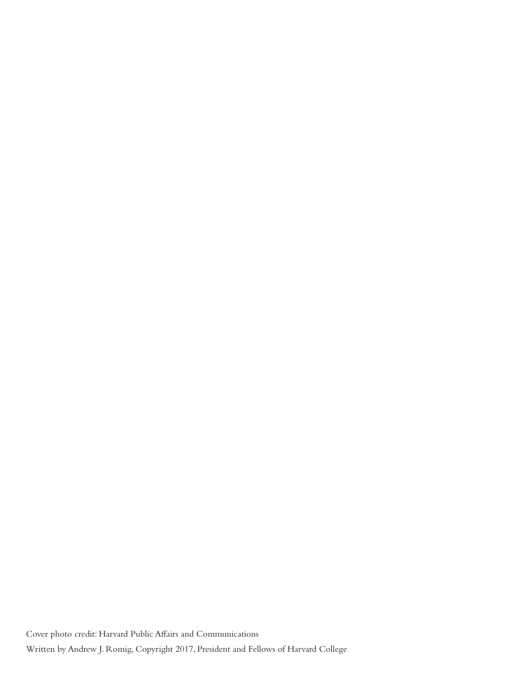Cover photo credit: Harvard Public Affairs and Communications Written by Andrew J. Romig, Copyright 2017, President and Fellows of Harvard College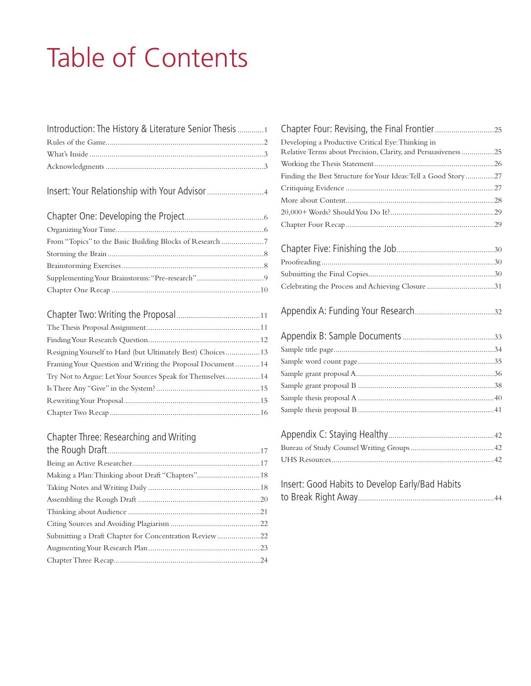# Table of Contents

| Introduction: The History & Literature Senior Thesis 1 |  |
|--------------------------------------------------------|--|
|                                                        |  |
|                                                        |  |
|                                                        |  |

|--|--|

| Resigning Yourself to Hard (but Ultimately Best) Choices 13 |  |
|-------------------------------------------------------------|--|
| Framing Your Question and Writing the Proposal Document  14 |  |
| Try Not to Argue: Let Your Sources Speak for Themselves 14  |  |
|                                                             |  |
|                                                             |  |
|                                                             |  |
|                                                             |  |

### Chapter Three: Researching and Writing

| Making a Plan: Thinking about Draft "Chapters" 18     |
|-------------------------------------------------------|
|                                                       |
|                                                       |
|                                                       |
|                                                       |
| Submitting a Draft Chapter for Concentration Review22 |
|                                                       |
|                                                       |
|                                                       |

| Developing a Productive Critical Eye: Thinking in              |  |
|----------------------------------------------------------------|--|
| Relative Terms about Precision, Clarity, and Persuasiveness 25 |  |
|                                                                |  |
| Finding the Best Structure for Your Ideas: Tell a Good Story27 |  |
|                                                                |  |
|                                                                |  |
|                                                                |  |
|                                                                |  |
|                                                                |  |
|                                                                |  |
|                                                                |  |
|                                                                |  |
| Celebrating the Process and Achieving Closure 31               |  |
|                                                                |  |
|                                                                |  |
|                                                                |  |
|                                                                |  |
|                                                                |  |
|                                                                |  |
|                                                                |  |
|                                                                |  |
|                                                                |  |
|                                                                |  |
|                                                                |  |
|                                                                |  |
|                                                                |  |
| Insert: Good Habits to Develop Early/Bad Habits                |  |
|                                                                |  |
|                                                                |  |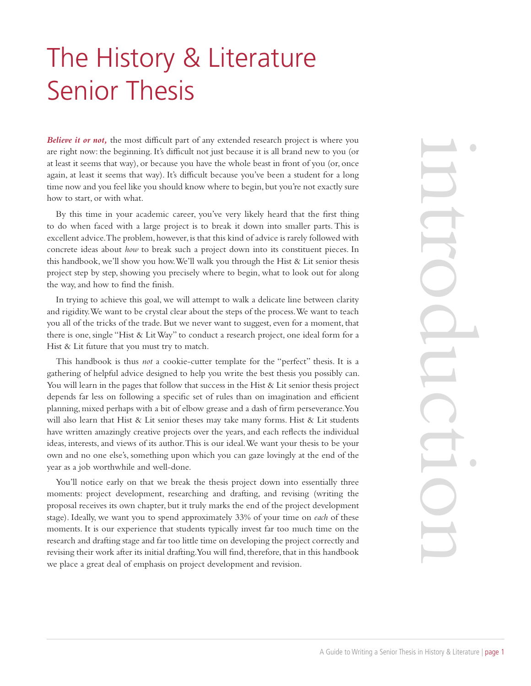## The History & Literature Senior Thesis

*Believe it or not,* the most difficult part of any extended research project is where you are right now: the beginning. It's difficult not just because it is all brand new to you (or at least it seems that way), or because you have the whole beast in front of you (or, once again, at least it seems that way). It's difficult because you've been a student for a long time now and you feel like you should know where to begin, but you're not exactly sure how to start, or with what.

By this time in your academic career, you've very likely heard that the first thing to do when faced with a large project is to break it down into smaller parts. This is excellent advice. The problem, however, is that this kind of advice is rarely followed with concrete ideas about *how* to break such a project down into its constituent pieces. In this handbook, we'll show you how. We'll walk you through the Hist & Lit senior thesis project step by step, showing you precisely where to begin, what to look out for along the way, and how to find the finish.

In trying to achieve this goal, we will attempt to walk a delicate line between clarity and rigidity. We want to be crystal clear about the steps of the process. We want to teach you all of the tricks of the trade. But we never want to suggest, even for a moment, that there is one, single "Hist & Lit Way" to conduct a research project, one ideal form for a Hist & Lit future that you must try to match.

This handbook is thus *not* a cookie-cutter template for the "perfect" thesis. It is a gathering of helpful advice designed to help you write the best thesis you possibly can. You will learn in the pages that follow that success in the Hist & Lit senior thesis project depends far less on following a specific set of rules than on imagination and efficient planning, mixed perhaps with a bit of elbow grease and a dash of firm perseverance. You will also learn that Hist & Lit senior theses may take many forms. Hist & Lit students have written amazingly creative projects over the years, and each reflects the individual ideas, interests, and views of its author. This is our ideal. We want your thesis to be your own and no one else's, something upon which you can gaze lovingly at the end of the year as a job worthwhile and well-done.

You'll notice early on that we break the thesis project down into essentially three moments: project development, researching and drafting, and revising (writing the proposal receives its own chapter, but it truly marks the end of the project development stage). Ideally, we want you to spend approximately 33% of your time on *each* of these moments. It is our experience that students typically invest far too much time on the research and drafting stage and far too little time on developing the project correctly and revising their work after its initial drafting. You will find, therefore, that in this handbook we place a great deal of emphasis on project development and revision.

where you<br>
to you (or, once<br>
to you (or, once<br>
to from a long sxactly sure<br>
first thing<br>
the to was the price to star in the bistor during the<br>
price to the power of the form for a<br>
esis. It is a<br>
esis project<br>
and of the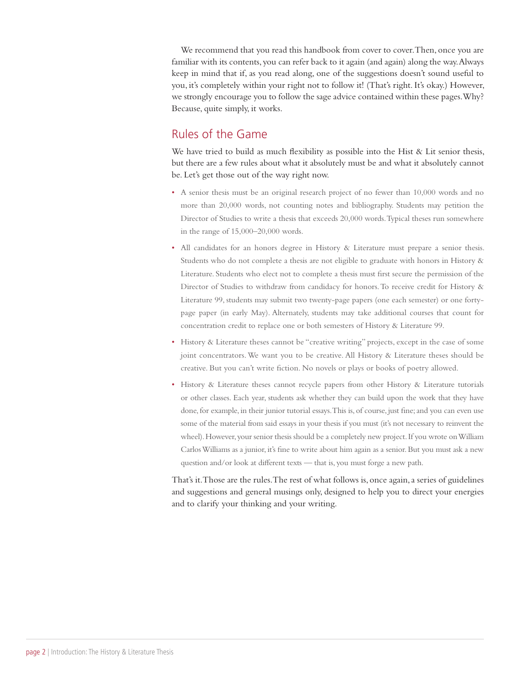We recommend that you read this handbook from cover to cover. Then, once you are familiar with its contents, you can refer back to it again (and again) along the way. Always keep in mind that if, as you read along, one of the suggestions doesn't sound useful to you, it's completely within your right not to follow it! (That's right. It's okay.) However, we strongly encourage you to follow the sage advice contained within these pages. Why? Because, quite simply, it works.

#### Rules of the Game

We have tried to build as much flexibility as possible into the Hist  $\&$  Lit senior thesis, but there are a few rules about what it absolutely must be and what it absolutely cannot be. Let's get those out of the way right now.

- A senior thesis must be an original research project of no fewer than 10,000 words and no more than 20,000 words, not counting notes and bibliography. Students may petition the Director of Studies to write a thesis that exceeds 20,000 words. Typical theses run somewhere in the range of 15,000–20,000 words.
- All candidates for an honors degree in History & Literature must prepare a senior thesis. Students who do not complete a thesis are not eligible to graduate with honors in History & Literature. Students who elect not to complete a thesis must first secure the permission of the Director of Studies to withdraw from candidacy for honors. To receive credit for History & Literature 99, students may submit two twenty-page papers (one each semester) or one fortypage paper (in early May). Alternately, students may take additional courses that count for concentration credit to replace one or both semesters of History & Literature 99.
- History & Literature theses cannot be "creative writing" projects, except in the case of some joint concentrators. We want you to be creative. All History & Literature theses should be creative. But you can't write fiction. No novels or plays or books of poetry allowed.
- History & Literature theses cannot recycle papers from other History & Literature tutorials or other classes. Each year, students ask whether they can build upon the work that they have done, for example, in their junior tutorial essays. This is, of course, just fine; and you can even use some of the material from said essays in your thesis if you must (it's not necessary to reinvent the wheel). However, your senior thesis should be a completely new project. If you wrote on William Carlos Williams as a junior, it's fine to write about him again as a senior. But you must ask a new question and/or look at different texts — that is, you must forge a new path.

That's it. Those are the rules. The rest of what follows is, once again, a series of guidelines and suggestions and general musings only, designed to help you to direct your energies and to clarify your thinking and your writing.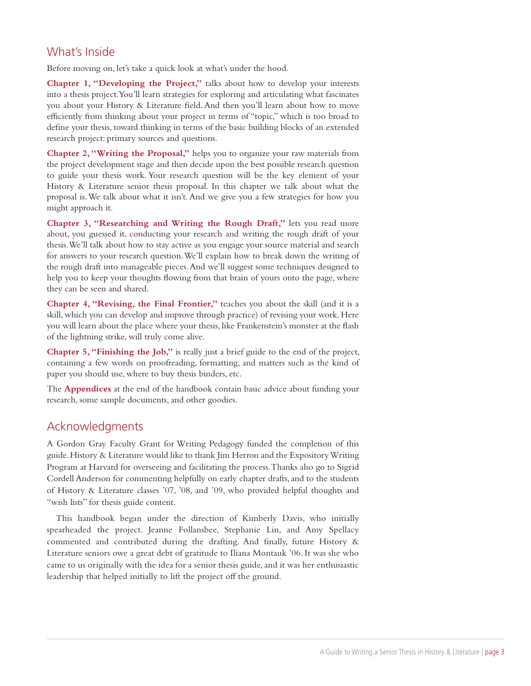#### What's Inside

Before moving on, let's take a quick look at what's under the hood.

**Chapter 1, "Developing the Project,"** talks about how to develop your interests into a thesis project. You'll learn strategies for exploring and articulating what fascinates you about your History & Literature field. And then you'll learn about how to move efficiently from thinking about your project in terms of "topic," which is too broad to define your thesis, toward thinking in terms of the basic building blocks of an extended research project: primary sources and questions.

**Chapter 2, "Writing the Proposal,"** helps you to organize your raw materials from the project development stage and then decide upon the best possible research question to guide your thesis work. Your research question will be the key element of your History & Literature senior thesis proposal. In this chapter we talk about what the proposal is. We talk about what it isn't. And we give you a few strategies for how you might approach it.

**Chapter 3, "Researching and Writing the Rough Draft,"** lets you read more about, you guessed it, conducting your research and writing the rough draft of your thesis. We'll talk about how to stay active as you engage your source material and search for answers to your research question. We'll explain how to break down the writing of the rough draft into manageable pieces. And we'll suggest some techniques designed to help you to keep your thoughts flowing from that brain of yours onto the page, where they can be seen and shared.

**Chapter 4, "Revising, the Final Frontier,"** teaches you about the skill (and it is a skill, which you can develop and improve through practice) of revising your work. Here you will learn about the place where your thesis, like Frankenstein's monster at the flash of the lightning strike, will truly come alive.

**Chapter 5, "Finishing the Job,"** is really just a brief guide to the end of the project, containing a few words on proofreading, formatting, and matters such as the kind of paper you should use, where to buy thesis binders, etc.

The **Appendices** at the end of the handbook contain basic advice about funding your research, some sample documents, and other goodies.

#### Acknowledgments

A Gordon Gray Faculty Grant for Writing Pedagogy funded the completion of this guide. History & Literature would like to thank Jim Herron and the Expository Writing Program at Harvard for overseeing and facilitating the process. Thanks also go to Sigrid Cordell Anderson for commenting helpfully on early chapter drafts, and to the students of History & Literature classes '07, '08, and '09, who provided helpful thoughts and "wish lists" for thesis guide content.

This handbook began under the direction of Kimberly Davis, who initially spearheaded the project. Jeanne Follansbee, Stephanie Lin, and Amy Spellacy commented and contributed during the drafting. And finally, future History & Literature seniors owe a great debt of gratitude to Iliana Montauk '06. It was she who came to us originally with the idea for a senior thesis guide, and it was her enthusiastic leadership that helped initially to lift the project off the ground.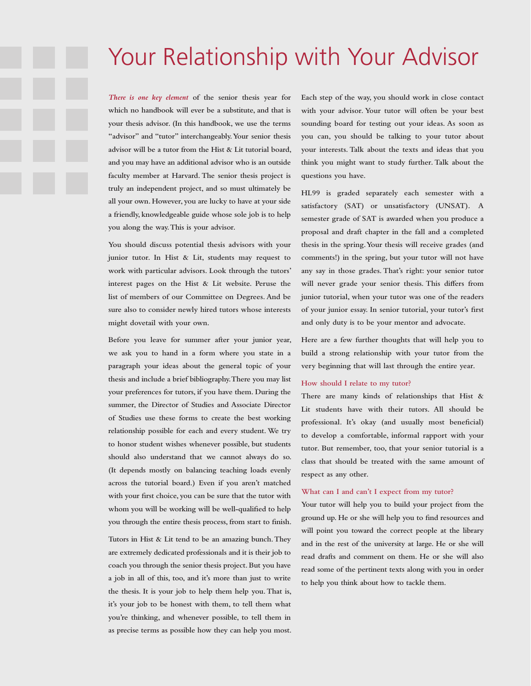## Your Relationship with Your Advisor

*There is one key element* **of the senior thesis year for which no handbook will ever be a substitute, and that is your thesis advisor. (In this handbook, we use the terms "advisor" and "tutor" interchangeably. Your senior thesis advisor will be a tutor from the Hist & Lit tutorial board, and you may have an additional advisor who is an outside faculty member at Harvard. The senior thesis project is truly an independent project, and so must ultimately be all your own. However, you are lucky to have at your side a friendly, knowledgeable guide whose sole job is to help you along the way. This is your advisor.**

**You should discuss potential thesis advisors with your junior tutor. In Hist & Lit, students may request to work with particular advisors. Look through the tutors' interest pages on the Hist & Lit website. Peruse the list of members of our Committee on Degrees. And be sure also to consider newly hired tutors whose interests might dovetail with your own.**

**Before you leave for summer after your junior year, we ask you to hand in a form where you state in a paragraph your ideas about the general topic of your thesis and include a brief bibliography. There you may list your preferences for tutors, if you have them. During the summer, the Director of Studies and Associate Director of Studies use these forms to create the best working relationship possible for each and every student. We try to honor student wishes whenever possible, but students should also understand that we cannot always do so. (It depends mostly on balancing teaching loads evenly across the tutorial board.) Even if you aren't matched with your first choice, you can be sure that the tutor with whom you will be working will be well-qualified to help you through the entire thesis process, from start to finish.**

**Tutors in Hist & Lit tend to be an amazing bunch. They are extremely dedicated professionals and it is their job to coach you through the senior thesis project. But you have a job in all of this, too, and it's more than just to write the thesis. It is your job to help them help you. That is, it's your job to be honest with them, to tell them what you're thinking, and whenever possible, to tell them in as precise terms as possible how they can help you most.**

**Each step of the way, you should work in close contact with your advisor. Your tutor will often be your best sounding board for testing out your ideas. As soon as you can, you should be talking to your tutor about your interests. Talk about the texts and ideas that you think you might want to study further. Talk about the questions you have.**

**HL99 is graded separately each semester with a satisfactory (SAT) or unsatisfactory (UNSAT). A semester grade of SAT is awarded when you produce a proposal and draft chapter in the fall and a completed thesis in the spring. Your thesis will receive grades (and comments!) in the spring, but your tutor will not have any say in those grades. That's right: your senior tutor will never grade your senior thesis. This differs from junior tutorial, when your tutor was one of the readers of your junior essay. In senior tutorial, your tutor's first and only duty is to be your mentor and advocate.**

**Here are a few further thoughts that will help you to build a strong relationship with your tutor from the very beginning that will last through the entire year.**

#### **How should I relate to my tutor?**

**There are many kinds of relationships that Hist & Lit students have with their tutors. All should be professional. It's okay (and usually most beneficial) to develop a comfortable, informal rapport with your tutor. But remember, too, that your senior tutorial is a class that should be treated with the same amount of respect as any other.**

#### **What can I and can't I expect from my tutor?**

**Your tutor will help you to build your project from the ground up. He or she will help you to find resources and will point you toward the correct people at the library and in the rest of the university at large. He or she will read drafts and comment on them. He or she will also read some of the pertinent texts along with you in order to help you think about how to tackle them.**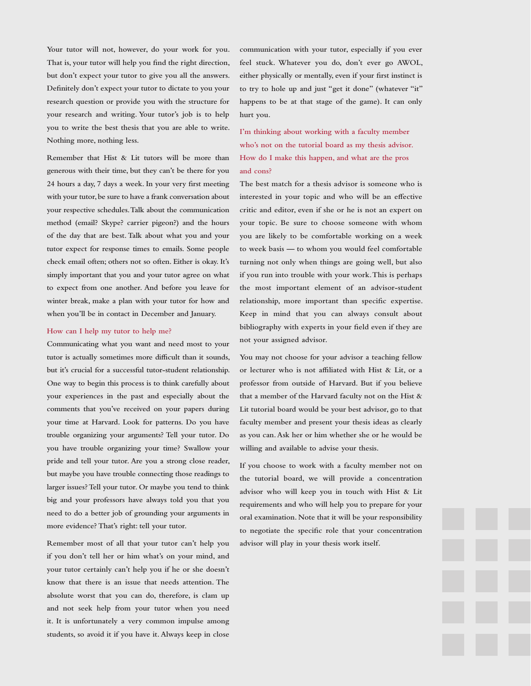**Your tutor will not, however, do your work for you. That is, your tutor will help you find the right direction, but don't expect your tutor to give you all the answers. Definitely don't expect your tutor to dictate to you your research question or provide you with the structure for your research and writing. Your tutor's job is to help you to write the best thesis that you are able to write. Nothing more, nothing less.**

**Remember that Hist & Lit tutors will be more than generous with their time, but they can't be there for you 24 hours a day, 7 days a week. In your very first meeting with your tutor, be sure to have a frank conversation about your respective schedules. Talk about the communication method (email? Skype? carrier pigeon?) and the hours of the day that are best. Talk about what you and your tutor expect for response times to emails. Some people check email often; others not so often. Either is okay. It's simply important that you and your tutor agree on what to expect from one another. And before you leave for winter break, make a plan with your tutor for how and when you'll be in contact in December and January.**

#### **How can I help my tutor to help me?**

**Communicating what you want and need most to your tutor is actually sometimes more difficult than it sounds, but it's crucial for a successful tutor-student relationship. One way to begin this process is to think carefully about your experiences in the past and especially about the comments that you've received on your papers during your time at Harvard. Look for patterns. Do you have trouble organizing your arguments? Tell your tutor. Do you have trouble organizing your time? Swallow your pride and tell your tutor. Are you a strong close reader, but maybe you have trouble connecting those readings to larger issues? Tell your tutor. Or maybe you tend to think big and your professors have always told you that you need to do a better job of grounding your arguments in more evidence? That's right: tell your tutor.**

**Remember most of all that your tutor can't help you if you don't tell her or him what's on your mind, and your tutor certainly can't help you if he or she doesn't know that there is an issue that needs attention. The absolute worst that you can do, therefore, is clam up and not seek help from your tutor when you need it. It is unfortunately a very common impulse among students, so avoid it if you have it. Always keep in close**  **communication with your tutor, especially if you ever feel stuck. Whatever you do, don't ever go AWOL, either physically or mentally, even if your first instinct is to try to hole up and just "get it done" (whatever "it" happens to be at that stage of the game). It can only hurt you.**

**I'm thinking about working with a faculty member who's not on the tutorial board as my thesis advisor. How do I make this happen, and what are the pros and cons?**

**The best match for a thesis advisor is someone who is interested in your topic and who will be an effective critic and editor, even if she or he is not an expert on your topic. Be sure to choose someone with whom you are likely to be comfortable working on a week to week basis — to whom you would feel comfortable turning not only when things are going well, but also if you run into trouble with your work. This is perhaps the most important element of an advisor-student relationship, more important than specific expertise. Keep in mind that you can always consult about bibliography with experts in your field even if they are not your assigned advisor.**

**You may not choose for your advisor a teaching fellow or lecturer who is not affiliated with Hist & Lit, or a professor from outside of Harvard. But if you believe that a member of the Harvard faculty not on the Hist & Lit tutorial board would be your best advisor, go to that faculty member and present your thesis ideas as clearly as you can. Ask her or him whether she or he would be willing and available to advise your thesis.**

**If you choose to work with a faculty member not on the tutorial board, we will provide a concentration advisor who will keep you in touch with Hist & Lit requirements and who will help you to prepare for your oral examination. Note that it will be your responsibility to negotiate the specific role that your concentration advisor will play in your thesis work itself.**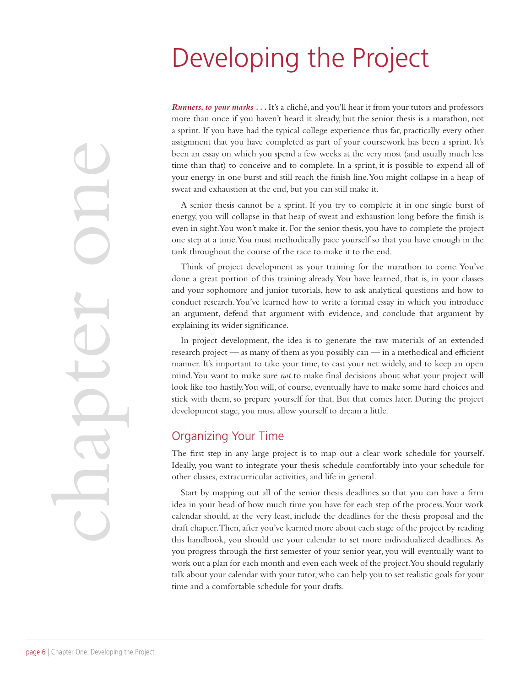## Developing the Project

*Runners, to your marks ...* It's a cliché, and you'll hear it from your tutors and professors more than once if you haven't heard it already, but the senior thesis is a marathon, not a sprint. If you have had the typical college experience thus far, practically every other assignment that you have completed as part of your coursework has been a sprint. It's been an essay on which you spend a few weeks at the very most (and usually much less time than that) to conceive and to complete. In a sprint, it is possible to expend all of your energy in one burst and still reach the finish line. You might collapse in a heap of sweat and exhaustion at the end, but you can still make it.

A senior thesis cannot be a sprint. If you try to complete it in one single burst of energy, you will collapse in that heap of sweat and exhaustion long before the finish is even in sight. You won't make it. For the senior thesis, you have to complete the project one step at a time. You must methodically pace yourself so that you have enough in the tank throughout the course of the race to make it to the end.

Think of project development as your training for the marathon to come. You've done a great portion of this training already. You have learned, that is, in your classes and your sophomore and junior tutorials, how to ask analytical questions and how to conduct research. You've learned how to write a formal essay in which you introduce an argument, defend that argument with evidence, and conclude that argument by explaining its wider significance.

In project development, the idea is to generate the raw materials of an extended research project — as many of them as you possibly can — in a methodical and efficient manner. It's important to take your time, to cast your net widely, and to keep an open mind. You want to make sure *not* to make final decisions about what your project will look like too hastily. You will, of course, eventually have to make some hard choices and stick with them, so prepare yourself for that. But that comes later. During the project development stage, you must allow yourself to dream a little.

#### Organizing Your Time

The first step in any large project is to map out a clear work schedule for yourself. Ideally, you want to integrate your thesis schedule comfortably into your schedule for other classes, extracurricular activities, and life in general.

Start by mapping out all of the senior thesis deadlines so that you can have a firm idea in your head of how much time you have for each step of the process. Your work calendar should, at the very least, include the deadlines for the thesis proposal and the draft chapter. Then, after you've learned more about each stage of the project by reading this handbook, you should use your calendar to set more individualized deadlines. As you progress through the first semester of your senior year, you will eventually want to work out a plan for each month and even each week of the project. You should regularly talk about your calendar with your tutor, who can help you to set realistic goals for your time and a comfortable schedule for your drafts.

page 6 | Chapter One: Developing the Project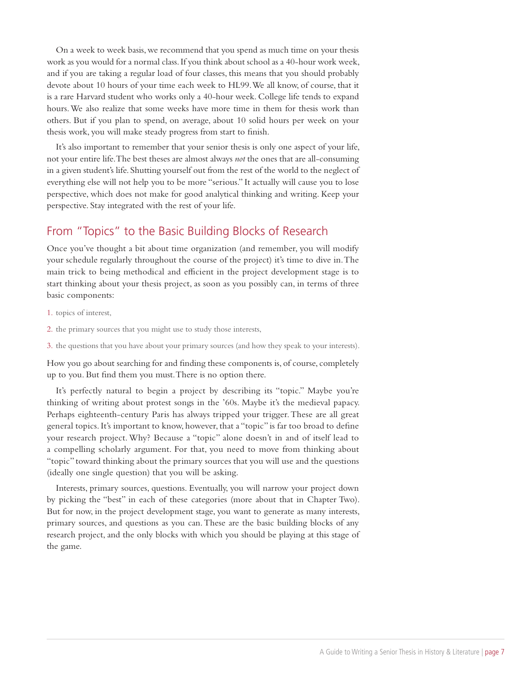On a week to week basis, we recommend that you spend as much time on your thesis work as you would for a normal class. If you think about school as a 40-hour work week, and if you are taking a regular load of four classes, this means that you should probably devote about 10 hours of your time each week to HL99. We all know, of course, that it is a rare Harvard student who works only a 40-hour week. College life tends to expand hours. We also realize that some weeks have more time in them for thesis work than others. But if you plan to spend, on average, about 10 solid hours per week on your thesis work, you will make steady progress from start to finish.

It's also important to remember that your senior thesis is only one aspect of your life, not your entire life. The best theses are almost always *not* the ones that are all-consuming in a given student's life. Shutting yourself out from the rest of the world to the neglect of everything else will not help you to be more "serious." It actually will cause you to lose perspective, which does not make for good analytical thinking and writing. Keep your perspective. Stay integrated with the rest of your life.

#### From "Topics" to the Basic Building Blocks of Research

Once you've thought a bit about time organization (and remember, you will modify your schedule regularly throughout the course of the project) it's time to dive in. The main trick to being methodical and efficient in the project development stage is to start thinking about your thesis project, as soon as you possibly can, in terms of three basic components:

1. topics of interest,

2. the primary sources that you might use to study those interests,

3. the questions that you have about your primary sources (and how they speak to your interests).

How you go about searching for and finding these components is, of course, completely up to you. But find them you must. There is no option there.

It's perfectly natural to begin a project by describing its "topic." Maybe you're thinking of writing about protest songs in the '60s. Maybe it's the medieval papacy. Perhaps eighteenth-century Paris has always tripped your trigger. These are all great general topics. It's important to know, however, that a "topic" is far too broad to define your research project. Why? Because a "topic" alone doesn't in and of itself lead to a compelling scholarly argument. For that, you need to move from thinking about "topic" toward thinking about the primary sources that you will use and the questions (ideally one single question) that you will be asking.

Interests, primary sources, questions. Eventually, you will narrow your project down by picking the "best" in each of these categories (more about that in Chapter Two). But for now, in the project development stage, you want to generate as many interests, primary sources, and questions as you can. These are the basic building blocks of any research project, and the only blocks with which you should be playing at this stage of the game.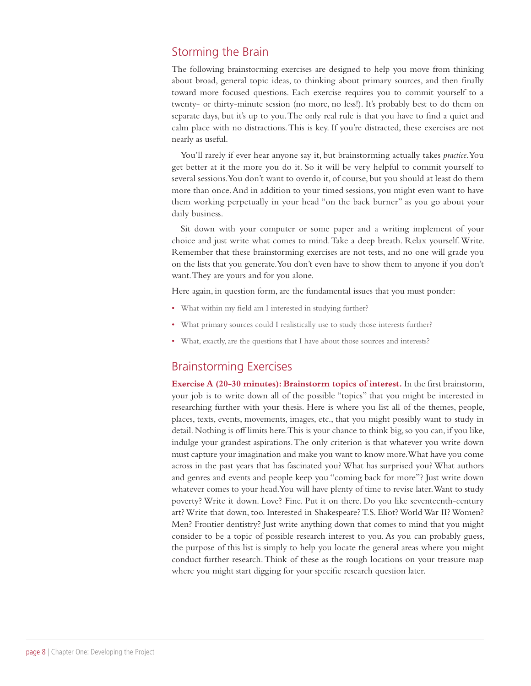#### Storming the Brain

The following brainstorming exercises are designed to help you move from thinking about broad, general topic ideas, to thinking about primary sources, and then finally toward more focused questions. Each exercise requires you to commit yourself to a twenty- or thirty-minute session (no more, no less!). It's probably best to do them on separate days, but it's up to you. The only real rule is that you have to find a quiet and calm place with no distractions. This is key. If you're distracted, these exercises are not nearly as useful.

You'll rarely if ever hear anyone say it, but brainstorming actually takes *practice*. You get better at it the more you do it. So it will be very helpful to commit yourself to several sessions. You don't want to overdo it, of course, but you should at least do them more than once. And in addition to your timed sessions, you might even want to have them working perpetually in your head "on the back burner" as you go about your daily business.

Sit down with your computer or some paper and a writing implement of your choice and just write what comes to mind. Take a deep breath. Relax yourself. Write. Remember that these brainstorming exercises are not tests, and no one will grade you on the lists that you generate. You don't even have to show them to anyone if you don't want. They are yours and for you alone.

Here again, in question form, are the fundamental issues that you must ponder:

- What within my field am I interested in studying further?
- What primary sources could I realistically use to study those interests further?
- What, exactly, are the questions that I have about those sources and interests?

#### Brainstorming Exercises

**Exercise A (20-30 minutes): Brainstorm topics of interest.** In the first brainstorm, your job is to write down all of the possible "topics" that you might be interested in researching further with your thesis. Here is where you list all of the themes, people, places, texts, events, movements, images, etc., that you might possibly want to study in detail. Nothing is off limits here. This is your chance to think big, so you can, if you like, indulge your grandest aspirations. The only criterion is that whatever you write down must capture your imagination and make you want to know more. What have you come across in the past years that has fascinated you? What has surprised you? What authors and genres and events and people keep you "coming back for more"? Just write down whatever comes to your head. You will have plenty of time to revise later. Want to study poverty? Write it down. Love? Fine. Put it on there. Do you like seventeenth-century art? Write that down, too. Interested in Shakespeare? T.S. Eliot? World War II? Women? Men? Frontier dentistry? Just write anything down that comes to mind that you might consider to be a topic of possible research interest to you. As you can probably guess, the purpose of this list is simply to help you locate the general areas where you might conduct further research. Think of these as the rough locations on your treasure map where you might start digging for your specific research question later.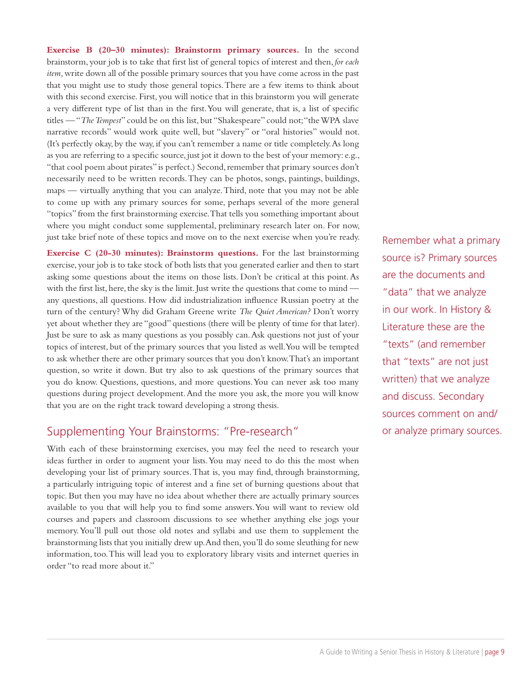**Exercise B (20–30 minutes): Brainstorm primary sources.** In the second brainstorm, your job is to take that first list of general topics of interest and then, *for each item*, write down all of the possible primary sources that you have come across in the past that you might use to study those general topics. There are a few items to think about with this second exercise. First, you will notice that in this brainstorm you will generate a very different type of list than in the first. You will generate, that is, a list of specific titles — "*The Tempest*" could be on this list, but "Shakespeare" could not; "the WPA slave narrative records" would work quite well, but "slavery" or "oral histories" would not. (It's perfectly okay, by the way, if you can't remember a name or title completely. As long as you are referring to a specific source, just jot it down to the best of your memory: e.g., "that cool poem about pirates" is perfect.) Second, remember that primary sources don't necessarily need to be written records. They can be photos, songs, paintings, buildings, maps — virtually anything that you can analyze. Third, note that you may not be able to come up with any primary sources for some, perhaps several of the more general "topics" from the first brainstorming exercise. That tells you something important about where you might conduct some supplemental, preliminary research later on. For now, just take brief note of these topics and move on to the next exercise when you're ready.

**Exercise C (20-30 minutes): Brainstorm questions.** For the last brainstorming exercise, your job is to take stock of both lists that you generated earlier and then to start asking some questions about the items on those lists. Don't be critical at this point. As with the first list, here, the sky is the limit. Just write the questions that come to mind any questions, all questions. How did industrialization influence Russian poetry at the turn of the century? Why did Graham Greene write *The Quiet American?* Don't worry yet about whether they are "good" questions (there will be plenty of time for that later). Just be sure to ask as many questions as you possibly can. Ask questions not just of your topics of interest, but of the primary sources that you listed as well. You will be tempted to ask whether there are other primary sources that you don't know. That's an important question, so write it down. But try also to ask questions of the primary sources that you do know. Questions, questions, and more questions. You can never ask too many questions during project development. And the more you ask, the more you will know that you are on the right track toward developing a strong thesis.

#### Supplementing Your Brainstorms: "Pre-research"

With each of these brainstorming exercises, you may feel the need to research your ideas further in order to augment your lists. You may need to do this the most when developing your list of primary sources. That is, you may find, through brainstorming, a particularly intriguing topic of interest and a fine set of burning questions about that topic. But then you may have no idea about whether there are actually primary sources available to you that will help you to find some answers. You will want to review old courses and papers and classroom discussions to see whether anything else jogs your memory. You'll pull out those old notes and syllabi and use them to supplement the brainstorming lists that you initially drew up. And then, you'll do some sleuthing for new information, too. This will lead you to exploratory library visits and internet queries in order "to read more about it."

Remember what a primary source is? Primary sources are the documents and "data" that we analyze in our work. In History & Literature these are the "texts" (and remember that "texts" are not just written) that we analyze and discuss. Secondary sources comment on and/ or analyze primary sources.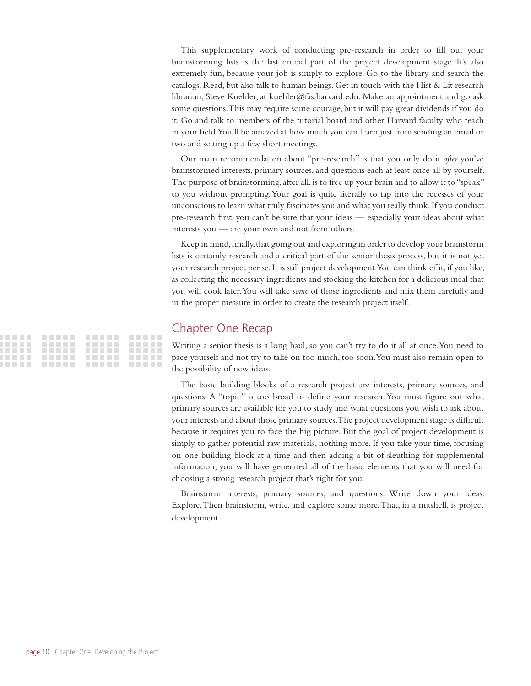This supplementary work of conducting pre-research in order to fill out your brainstorming lists is the last crucial part of the project development stage. It's also extremely fun, because your job is simply to explore. Go to the library and search the catalogs. Read, but also talk to human beings. Get in touch with the Hist & Lit research librarian, Steve Kuehler, at kuehler@fas.harvard.edu. Make an appointment and go ask some questions. This may require some courage, but it will pay great dividends if you do it. Go and talk to members of the tutorial board and other Harvard faculty who teach in your field. You'll be amazed at how much you can learn just from sending an email or two and setting up a few short meetings.

Our main recommendation about "pre-research" is that you only do it *after* you've brainstormed interests, primary sources, and questions each at least once all by yourself. The purpose of brainstorming, after all, is to free up your brain and to allow it to "speak" to you without prompting. Your goal is quite literally to tap into the recesses of your unconscious to learn what truly fascinates you and what you really think. If you conduct pre-research first, you can't be sure that your ideas — especially your ideas about what interests you — are your own and not from others.

Keep in mind, finally, that going out and exploring in order to develop your brainstorm lists is certainly research and a critical part of the senior thesis process, but it is not yet your research project per se. It is still project development. You can think of it, if you like, as collecting the necessary ingredients and stocking the kitchen for a delicious meal that you will cook later. You will take *some* of those ingredients and mix them carefully and in the proper measure in order to create the research project itself.

#### Chapter One Recap

Writing a senior thesis is a long haul, so you can't try to do it all at once. You need to pace yourself and not try to take on too much, too soon. You must also remain open to the possibility of new ideas.

The basic building blocks of a research project are interests, primary sources, and questions. A "topic" is too broad to define your research. You must figure out what primary sources are available for you to study and what questions you wish to ask about your interests and about those primary sources. The project development stage is difficult because it requires you to face the big picture. But the goal of project development is simply to gather potential raw materials, nothing more. If you take your time, focusing on one building block at a time and then adding a bit of sleuthing for supplemental information, you will have generated all of the basic elements that you will need for choosing a strong research project that's right for you.

Brainstorm interests, primary sources, and questions. Write down your ideas. Explore. Then brainstorm, write, and explore some more. That, in a nutshell, is project development.

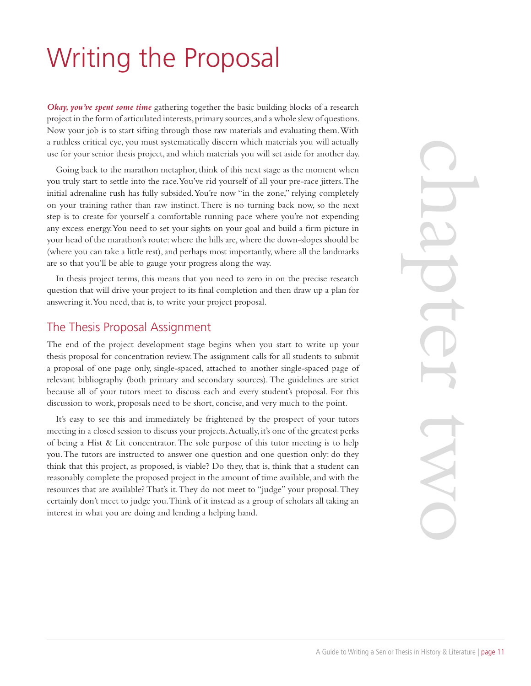# Writing the Proposal

*Okay, you've spent some time* gathering together the basic building blocks of a research project in the form of articulated interests, primary sources, and a whole slew of questions. Now your job is to start sifting through those raw materials and evaluating them. With a ruthless critical eye, you must systematically discern which materials you will actually use for your senior thesis project, and which materials you will set aside for another day.

Going back to the marathon metaphor, think of this next stage as the moment when you truly start to settle into the race. You've rid yourself of all your pre-race jitters. The initial adrenaline rush has fully subsided. You're now "in the zone," relying completely on your training rather than raw instinct. There is no turning back now, so the next step is to create for yourself a comfortable running pace where you're not expending any excess energy. You need to set your sights on your goal and build a firm picture in your head of the marathon's route: where the hills are, where the down-slopes should be (where you can take a little rest), and perhaps most importantly, where all the landmarks are so that you'll be able to gauge your progress along the way.

In thesis project terms, this means that you need to zero in on the precise research question that will drive your project to its final completion and then draw up a plan for answering it. You need, that is, to write your project proposal.

#### The Thesis Proposal Assignment

The end of the project development stage begins when you start to write up your thesis proposal for concentration review. The assignment calls for all students to submit a proposal of one page only, single-spaced, attached to another single-spaced page of relevant bibliography (both primary and secondary sources). The guidelines are strict because all of your tutors meet to discuss each and every student's proposal. For this discussion to work, proposals need to be short, concise, and very much to the point.

It's easy to see this and immediately be frightened by the prospect of your tutors meeting in a closed session to discuss your projects. Actually, it's one of the greatest perks of being a Hist & Lit concentrator. The sole purpose of this tutor meeting is to help you. The tutors are instructed to answer one question and one question only: do they think that this project, as proposed, is viable? Do they, that is, think that a student can reasonably complete the proposed project in the amount of time available, and with the resources that are available? That's it. They do not meet to "judge" your proposal. They certainly don't meet to judge you. Think of it instead as a group of scholars all taking an interest in what you are doing and lending a helping hand.

chapter two X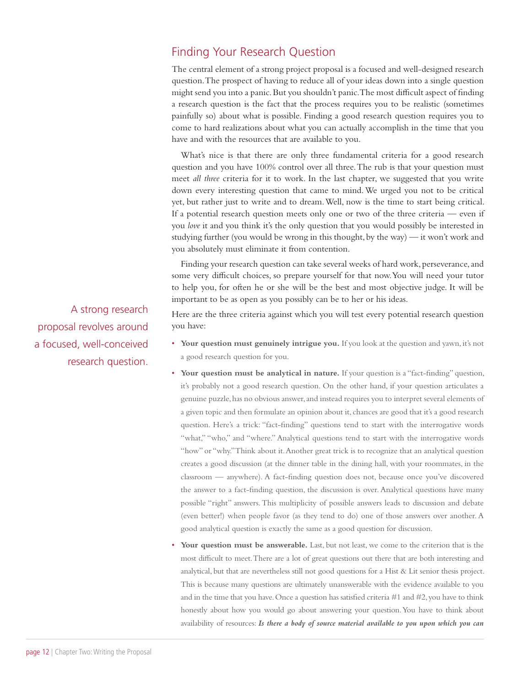#### Finding Your Research Question

The central element of a strong project proposal is a focused and well-designed research question. The prospect of having to reduce all of your ideas down into a single question might send you into a panic. But you shouldn't panic. The most difficult aspect of finding a research question is the fact that the process requires you to be realistic (sometimes painfully so) about what is possible. Finding a good research question requires you to come to hard realizations about what you can actually accomplish in the time that you have and with the resources that are available to you.

What's nice is that there are only three fundamental criteria for a good research question and you have 100% control over all three. The rub is that your question must meet *all three* criteria for it to work. In the last chapter, we suggested that you write down every interesting question that came to mind. We urged you not to be critical yet, but rather just to write and to dream. Well, now is the time to start being critical. If a potential research question meets only one or two of the three criteria — even if you *love* it and you think it's the only question that you would possibly be interested in studying further (you would be wrong in this thought, by the way) — it won't work and you absolutely must eliminate it from contention.

Finding your research question can take several weeks of hard work, perseverance, and some very difficult choices, so prepare yourself for that now. You will need your tutor to help you, for often he or she will be the best and most objective judge. It will be important to be as open as you possibly can be to her or his ideas.

Here are the three criteria against which you will test every potential research question you have:

- **Your question must genuinely intrigue you.** If you look at the question and yawn, it's not a good research question for you.
- Your question must be analytical in nature. If your question is a "fact-finding" question, it's probably not a good research question. On the other hand, if your question articulates a genuine puzzle, has no obvious answer, and instead requires you to interpret several elements of a given topic and then formulate an opinion about it, chances are good that it's a good research question. Here's a trick: "fact-finding" questions tend to start with the interrogative words "what," "who," and "where." Analytical questions tend to start with the interrogative words "how" or "why." Think about it. Another great trick is to recognize that an analytical question creates a good discussion (at the dinner table in the dining hall, with your roommates, in the classroom — anywhere). A fact-finding question does not, because once you've discovered the answer to a fact-finding question, the discussion is over. Analytical questions have many possible "right" answers. This multiplicity of possible answers leads to discussion and debate (even better!) when people favor (as they tend to do) one of those answers over another. A good analytical question is exactly the same as a good question for discussion.
- **Your question must be answerable.** Last, but not least, we come to the criterion that is the most difficult to meet. There are a lot of great questions out there that are both interesting and analytical, but that are nevertheless still not good questions for a Hist & Lit senior thesis project. This is because many questions are ultimately unanswerable with the evidence available to you and in the time that you have. Once a question has satisfied criteria  $#1$  and  $#2$ , you have to think honestly about how you would go about answering your question. You have to think about availability of resources: *Is there a body of source material available to you upon which you can*

A strong research proposal revolves around a focused, well-conceived research question.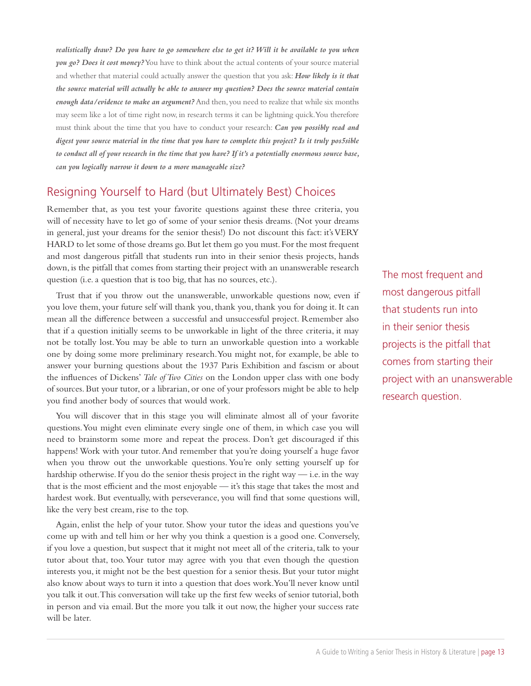*realistically draw? Do you have to go somewhere else to get it? Will it be available to you when you go? Does it cost money?* You have to think about the actual contents of your source material and whether that material could actually answer the question that you ask: *How likely is it that the source material will actually be able to answer my question? Does the source material contain enough data/evidence to make an argument?* And then, you need to realize that while six months may seem like a lot of time right now, in research terms it can be lightning quick. You therefore must think about the time that you have to conduct your research: *Can you possibly read and digest your source material in the time that you have to complete this project? Is it truly pos5sible to conduct all of your research in the time that you have? If it's a potentially enormous source base, can you logically narrow it down to a more manageable size?*

#### Resigning Yourself to Hard (but Ultimately Best) Choices

Remember that, as you test your favorite questions against these three criteria, you will of necessity have to let go of some of your senior thesis dreams. (Not your dreams in general, just your dreams for the senior thesis!) Do not discount this fact: it's VERY HARD to let some of those dreams go. But let them go you must. For the most frequent and most dangerous pitfall that students run into in their senior thesis projects, hands down, is the pitfall that comes from starting their project with an unanswerable research question (i.e. a question that is too big, that has no sources, etc.).

Trust that if you throw out the unanswerable, unworkable questions now, even if you love them, your future self will thank you, thank you, thank you for doing it. It can mean all the difference between a successful and unsuccessful project. Remember also that if a question initially seems to be unworkable in light of the three criteria, it may not be totally lost. You may be able to turn an unworkable question into a workable one by doing some more preliminary research. You might not, for example, be able to answer your burning questions about the 1937 Paris Exhibition and fascism or about the influences of Dickens' *Tale of Two Cities* on the London upper class with one body of sources. But your tutor, or a librarian, or one of your professors might be able to help you find another body of sources that would work.

You will discover that in this stage you will eliminate almost all of your favorite questions. You might even eliminate every single one of them, in which case you will need to brainstorm some more and repeat the process. Don't get discouraged if this happens! Work with your tutor. And remember that you're doing yourself a huge favor when you throw out the unworkable questions. You're only setting yourself up for hardship otherwise. If you do the senior thesis project in the right way — i.e. in the way that is the most efficient and the most enjoyable — it's this stage that takes the most and hardest work. But eventually, with perseverance, you will find that some questions will, like the very best cream, rise to the top.

Again, enlist the help of your tutor. Show your tutor the ideas and questions you've come up with and tell him or her why you think a question is a good one. Conversely, if you love a question, but suspect that it might not meet all of the criteria, talk to your tutor about that, too. Your tutor may agree with you that even though the question interests you, it might not be the best question for a senior thesis. But your tutor might also know about ways to turn it into a question that does work. You'll never know until you talk it out. This conversation will take up the first few weeks of senior tutorial, both in person and via email. But the more you talk it out now, the higher your success rate will be later.

The most frequent and most dangerous pitfall that students run into in their senior thesis projects is the pitfall that comes from starting their project with an unanswerable research question.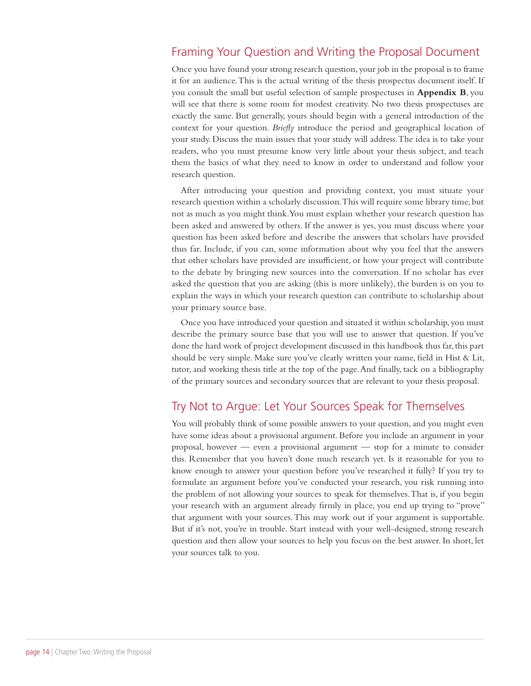#### Framing Your Question and Writing the Proposal Document

Once you have found your strong research question, your job in the proposal is to frame it for an audience. This is the actual writing of the thesis prospectus document itself. If you consult the small but useful selection of sample prospectuses in **Appendix B**, you will see that there is some room for modest creativity. No two thesis prospectuses are exactly the same. But generally, yours should begin with a general introduction of the context for your question. *Briefly* introduce the period and geographical location of your study. Discuss the main issues that your study will address. The idea is to take your readers, who you must presume know very little about your thesis subject, and teach them the basics of what they need to know in order to understand and follow your research question.

After introducing your question and providing context, you must situate your research question within a scholarly discussion. This will require some library time, but not as much as you might think. You must explain whether your research question has been asked and answered by others. If the answer is yes, you must discuss where your question has been asked before and describe the answers that scholars have provided thus far. Include, if you can, some information about why you feel that the answers that other scholars have provided are insufficient, or how your project will contribute to the debate by bringing new sources into the conversation. If no scholar has ever asked the question that you are asking (this is more unlikely), the burden is on you to explain the ways in which your research question can contribute to scholarship about your primary source base.

Once you have introduced your question and situated it within scholarship, you must describe the primary source base that you will use to answer that question. If you've done the hard work of project development discussed in this handbook thus far, this part should be very simple. Make sure you've clearly written your name, field in Hist & Lit, tutor, and working thesis title at the top of the page. And finally, tack on a bibliography of the primary sources and secondary sources that are relevant to your thesis proposal.

#### Try Not to Argue: Let Your Sources Speak for Themselves

You will probably think of some possible answers to your question, and you might even have some ideas about a provisional argument. Before you include an argument in your proposal, however — even a provisional argument — stop for a minute to consider this. Remember that you haven't done much research yet. Is it reasonable for you to know enough to answer your question before you've researched it fully? If you try to formulate an argument before you've conducted your research, you risk running into the problem of not allowing your sources to speak for themselves. That is, if you begin your research with an argument already firmly in place, you end up trying to "prove" that argument with your sources. This may work out if your argument is supportable. But if it's not, you're in trouble. Start instead with your well-designed, strong research question and then allow your sources to help you focus on the best answer. In short, let your sources talk to you.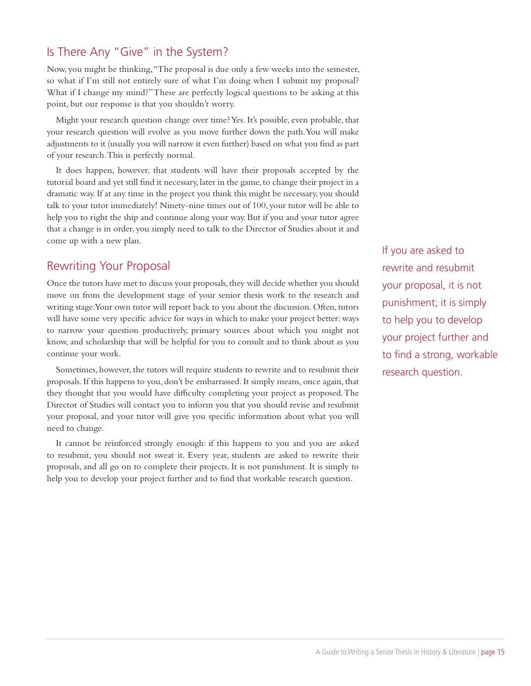### Is There Any "Give" in the System?

Now, you might be thinking, "The proposal is due only a few weeks into the semester, so what if I'm still not entirely sure of what I'm doing when I submit my proposal? What if I change my mind?" These are perfectly logical questions to be asking at this point, but our response is that you shouldn't worry.

Might your research question change over time? Yes. It's possible, even probable, that your research question will evolve as you move further down the path. You will make adjustments to it (usually you will narrow it even further) based on what you find as part of your research. This is perfectly normal.

It does happen, however, that students will have their proposals accepted by the tutorial board and yet still find it necessary, later in the game, to change their project in a dramatic way. If at any time in the project you think this might be necessary, you should talk to your tutor immediately! Ninety-nine times out of 100, your tutor will be able to help you to right the ship and continue along your way. But if you and your tutor agree that a change is in order, you simply need to talk to the Director of Studies about it and come up with a new plan.

#### Rewriting Your Proposal

Once the tutors have met to discuss your proposals, they will decide whether you should move on from the development stage of your senior thesis work to the research and writing stage. Your own tutor will report back to you about the discussion. Often, tutors will have some very specific advice for ways in which to make your project better: ways to narrow your question productively, primary sources about which you might not know, and scholarship that will be helpful for you to consult and to think about as you continue your work.

Sometimes, however, the tutors will require students to rewrite and to resubmit their proposals. If this happens to you, don't be embarrassed. It simply means, once again, that they thought that you would have difficulty completing your project as proposed. The Director of Studies will contact you to inform you that you should revise and resubmit your proposal, and your tutor will give you specific information about what you will need to change.

It cannot be reinforced strongly enough: if this happens to you and you are asked to resubmit, you should not sweat it. Every year, students are asked to rewrite their proposals, and all go on to complete their projects. It is not punishment. It is simply to help you to develop your project further and to find that workable research question.

If you are asked to rewrite and resubmit your proposal, it is not punishment; it is simply to help you to develop your project further and to find a strong, workable research question.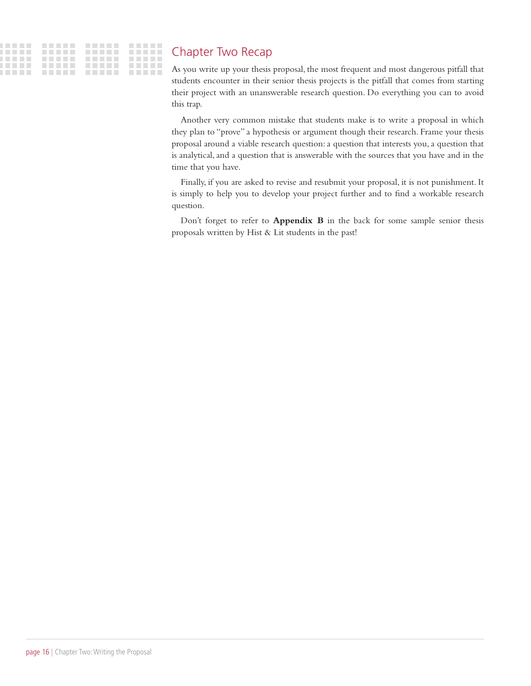### Chapter Two Recap

As you write up your thesis proposal, the most frequent and most dangerous pitfall that students encounter in their senior thesis projects is the pitfall that comes from starting their project with an unanswerable research question. Do everything you can to avoid this trap.

Another very common mistake that students make is to write a proposal in which they plan to "prove" a hypothesis or argument though their research. Frame your thesis proposal around a viable research question: a question that interests you, a question that is analytical, and a question that is answerable with the sources that you have and in the time that you have.

Finally, if you are asked to revise and resubmit your proposal, it is not punishment. It is simply to help you to develop your project further and to find a workable research question.

Don't forget to refer to **Appendix B** in the back for some sample senior thesis proposals written by Hist & Lit students in the past!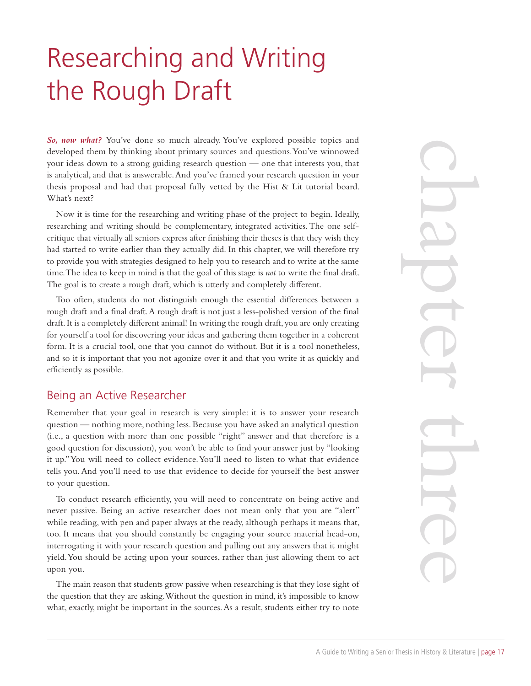# Researching and Writing the Rough Draft

*So, now what?* You've done so much already. You've explored possible topics and developed them by thinking about primary sources and questions. You've winnowed your ideas down to a strong guiding research question — one that interests you, that is analytical, and that is answerable. And you've framed your research question in your thesis proposal and had that proposal fully vetted by the Hist & Lit tutorial board. What's next?

Now it is time for the researching and writing phase of the project to begin. Ideally, researching and writing should be complementary, integrated activities. The one selfcritique that virtually all seniors express after finishing their theses is that they wish they had started to write earlier than they actually did. In this chapter, we will therefore try to provide you with strategies designed to help you to research and to write at the same time. The idea to keep in mind is that the goal of this stage is *not* to write the final draft. The goal is to create a rough draft, which is utterly and completely different.

Too often, students do not distinguish enough the essential differences between a rough draft and a final draft. A rough draft is not just a less-polished version of the final draft. It is a completely different animal! In writing the rough draft, you are only creating for yourself a tool for discovering your ideas and gathering them together in a coherent form. It is a crucial tool, one that you cannot do without. But it is a tool nonetheless, and so it is important that you not agonize over it and that you write it as quickly and efficiently as possible.

#### Being an Active Researcher

Remember that your goal in research is very simple: it is to answer your research question — nothing more, nothing less. Because you have asked an analytical question (i.e., a question with more than one possible "right" answer and that therefore is a good question for discussion), you won't be able to find your answer just by "looking it up." You will need to collect evidence. You'll need to listen to what that evidence tells you. And you'll need to use that evidence to decide for yourself the best answer to your question.

To conduct research efficiently, you will need to concentrate on being active and never passive. Being an active researcher does not mean only that you are "alert" while reading, with pen and paper always at the ready, although perhaps it means that, too. It means that you should constantly be engaging your source material head-on, interrogating it with your research question and pulling out any answers that it might yield. You should be acting upon your sources, rather than just allowing them to act upon you.

The main reason that students grow passive when researching is that they lose sight of the question that they are asking. Without the question in mind, it's impossible to know what, exactly, might be important in the sources. As a result, students either try to note

chapter three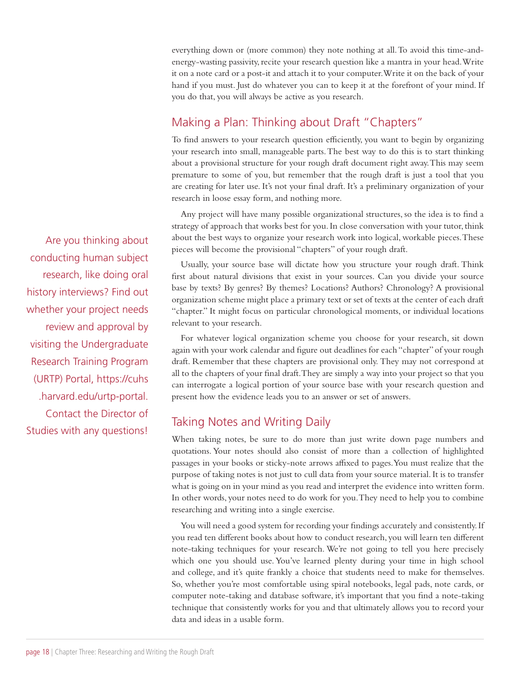everything down or (more common) they note nothing at all. To avoid this time-andenergy-wasting passivity, recite your research question like a mantra in your head. Write it on a note card or a post-it and attach it to your computer. Write it on the back of your hand if you must. Just do whatever you can to keep it at the forefront of your mind. If you do that, you will always be active as you research.

### Making a Plan: Thinking about Draft "Chapters"

To find answers to your research question efficiently, you want to begin by organizing your research into small, manageable parts. The best way to do this is to start thinking about a provisional structure for your rough draft document right away. This may seem premature to some of you, but remember that the rough draft is just a tool that you are creating for later use. It's not your final draft. It's a preliminary organization of your research in loose essay form, and nothing more.

Any project will have many possible organizational structures, so the idea is to find a strategy of approach that works best for you. In close conversation with your tutor, think about the best ways to organize your research work into logical, workable pieces. These pieces will become the provisional "chapters" of your rough draft.

Usually, your source base will dictate how you structure your rough draft. Think first about natural divisions that exist in your sources. Can you divide your source base by texts? By genres? By themes? Locations? Authors? Chronology? A provisional organization scheme might place a primary text or set of texts at the center of each draft "chapter." It might focus on particular chronological moments, or individual locations relevant to your research.

For whatever logical organization scheme you choose for your research, sit down again with your work calendar and figure out deadlines for each "chapter" of your rough draft. Remember that these chapters are provisional only. They may not correspond at all to the chapters of your final draft. They are simply a way into your project so that you can interrogate a logical portion of your source base with your research question and present how the evidence leads you to an answer or set of answers.

#### Taking Notes and Writing Daily

When taking notes, be sure to do more than just write down page numbers and quotations. Your notes should also consist of more than a collection of highlighted passages in your books or sticky-note arrows affixed to pages. You must realize that the purpose of taking notes is not just to cull data from your source material. It is to transfer what is going on in your mind as you read and interpret the evidence into written form. In other words, your notes need to do work for you. They need to help you to combine researching and writing into a single exercise.

You will need a good system for recording your findings accurately and consistently. If you read ten different books about how to conduct research, you will learn ten different note-taking techniques for your research. We're not going to tell you here precisely which one you should use. You've learned plenty during your time in high school and college, and it's quite frankly a choice that students need to make for themselves. So, whether you're most comfortable using spiral notebooks, legal pads, note cards, or computer note-taking and database software, it's important that you find a note-taking technique that consistently works for you and that ultimately allows you to record your data and ideas in a usable form.

Are you thinking about conducting human subject research, like doing oral history interviews? Find out whether your project needs review and approval by visiting the Undergraduate Research Training Program (URTP) Portal, https://cuhs .harvard.edu/urtp-portal. Contact the Director of Studies with any questions!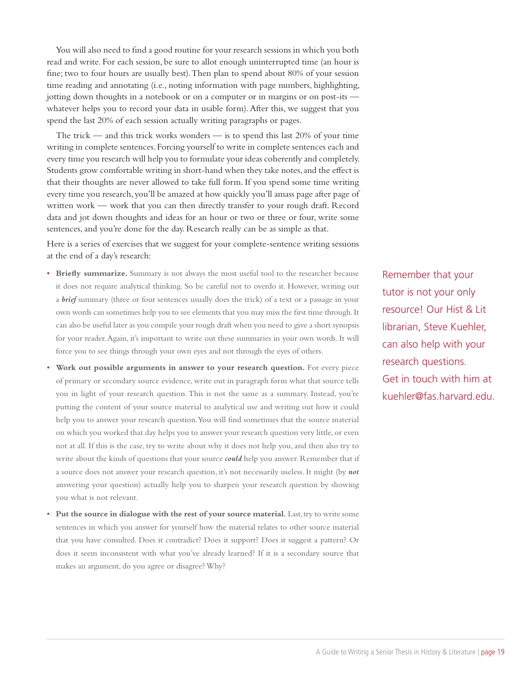You will also need to find a good routine for your research sessions in which you both read and write. For each session, be sure to allot enough uninterrupted time (an hour is fine; two to four hours are usually best). Then plan to spend about 80% of your session time reading and annotating (i.e., noting information with page numbers, highlighting, jotting down thoughts in a notebook or on a computer or in margins or on post-its whatever helps you to record your data in usable form). After this, we suggest that you spend the last 20% of each session actually writing paragraphs or pages.

The trick — and this trick works wonders — is to spend this last  $20\%$  of your time writing in complete sentences. Forcing yourself to write in complete sentences each and every time you research will help you to formulate your ideas coherently and completely. Students grow comfortable writing in short-hand when they take notes, and the effect is that their thoughts are never allowed to take full form. If you spend some time writing every time you research, you'll be amazed at how quickly you'll amass page after page of written work — work that you can then directly transfer to your rough draft. Record data and jot down thoughts and ideas for an hour or two or three or four, write some sentences, and you're done for the day. Research really can be as simple as that.

Here is a series of exercises that we suggest for your complete-sentence writing sessions at the end of a day's research:

- **Briefly summarize.** Summary is not always the most useful tool to the researcher because it does not require analytical thinking. So be careful not to overdo it. However, writing out a *brief* summary (three or four sentences usually does the trick) of a text or a passage in your own words can sometimes help you to see elements that you may miss the first time through. It can also be useful later as you compile your rough draft when you need to give a short synopsis for your reader. Again, it's important to write out these summaries in your own words. It will force you to see things through your own eyes and not through the eyes of others.
- **Work out possible arguments in answer to your research question.** For every piece of primary or secondary source evidence, write out in paragraph form what that source tells you in light of your research question. This is not the same as a summary. Instead, you're putting the content of your source material to analytical use and writing out how it could help you to answer your research question. You will find sometimes that the source material on which you worked that day helps you to answer your research question very little, or even not at all. If this is the case, try to write about why it does not help you, and then also try to write about the kinds of questions that your source *could* help you answer. Remember that if a source does not answer your research question, it's not necessarily useless. It might (by *not* answering your question) actually help you to sharpen your research question by showing you what is not relevant.
- **Put the source in dialogue with the rest of your source material.** Last, try to write some sentences in which you answer for yourself how the material relates to other source material that you have consulted. Does it contradict? Does it support? Does it suggest a pattern? Or does it seem inconsistent with what you've already learned? If it is a secondary source that makes an argument, do you agree or disagree? Why?

Remember that your tutor is not your only resource! Our Hist & Lit librarian, Steve Kuehler, can also help with your research questions. Get in touch with him at kuehler@fas.harvard.edu.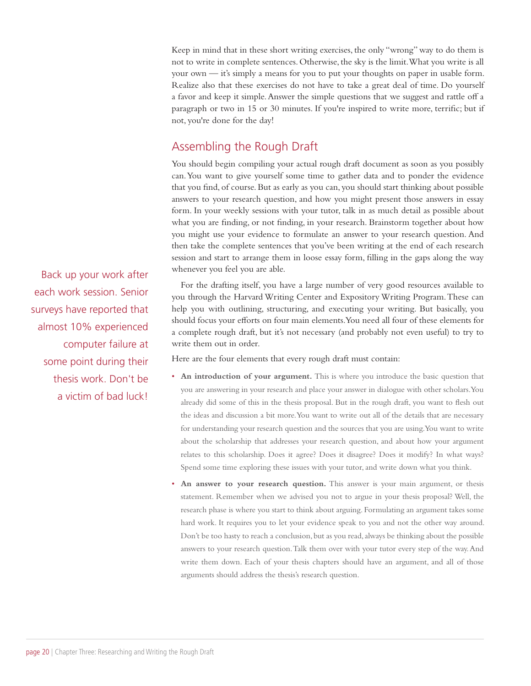Keep in mind that in these short writing exercises, the only "wrong" way to do them is not to write in complete sentences. Otherwise, the sky is the limit. What you write is all your own — it's simply a means for you to put your thoughts on paper in usable form. Realize also that these exercises do not have to take a great deal of time. Do yourself a favor and keep it simple. Answer the simple questions that we suggest and rattle off a paragraph or two in 15 or 30 minutes. If you're inspired to write more, terrific; but if not, you're done for the day!

#### Assembling the Rough Draft

You should begin compiling your actual rough draft document as soon as you possibly can. You want to give yourself some time to gather data and to ponder the evidence that you find, of course. But as early as you can, you should start thinking about possible answers to your research question, and how you might present those answers in essay form. In your weekly sessions with your tutor, talk in as much detail as possible about what you are finding, or not finding, in your research. Brainstorm together about how you might use your evidence to formulate an answer to your research question. And then take the complete sentences that you've been writing at the end of each research session and start to arrange them in loose essay form, filling in the gaps along the way whenever you feel you are able.

For the drafting itself, you have a large number of very good resources available to you through the Harvard Writing Center and Expository Writing Program. These can help you with outlining, structuring, and executing your writing. But basically, you should focus your efforts on four main elements. You need all four of these elements for a complete rough draft, but it's not necessary (and probably not even useful) to try to write them out in order.

Here are the four elements that every rough draft must contain:

- **An introduction of your argument.** This is where you introduce the basic question that you are answering in your research and place your answer in dialogue with other scholars. You already did some of this in the thesis proposal. But in the rough draft, you want to flesh out the ideas and discussion a bit more. You want to write out all of the details that are necessary for understanding your research question and the sources that you are using. You want to write about the scholarship that addresses your research question, and about how your argument relates to this scholarship. Does it agree? Does it disagree? Does it modify? In what ways? Spend some time exploring these issues with your tutor, and write down what you think.
- **An answer to your research question.** This answer is your main argument, or thesis statement. Remember when we advised you not to argue in your thesis proposal? Well, the research phase is where you start to think about arguing. Formulating an argument takes some hard work. It requires you to let your evidence speak to you and not the other way around. Don't be too hasty to reach a conclusion, but as you read, always be thinking about the possible answers to your research question. Talk them over with your tutor every step of the way. And write them down. Each of your thesis chapters should have an argument, and all of those arguments should address the thesis's research question.

Back up your work after each work session. Senior surveys have reported that almost 10% experienced computer failure at some point during their thesis work. Don't be a victim of bad luck!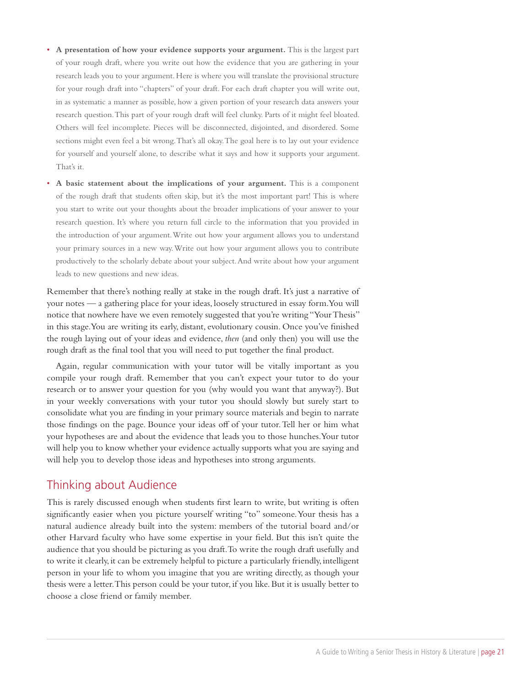- **A presentation of how your evidence supports your argument.** This is the largest part of your rough draft, where you write out how the evidence that you are gathering in your research leads you to your argument. Here is where you will translate the provisional structure for your rough draft into "chapters" of your draft. For each draft chapter you will write out, in as systematic a manner as possible, how a given portion of your research data answers your research question. This part of your rough draft will feel clunky. Parts of it might feel bloated. Others will feel incomplete. Pieces will be disconnected, disjointed, and disordered. Some sections might even feel a bit wrong. That's all okay. The goal here is to lay out your evidence for yourself and yourself alone, to describe what it says and how it supports your argument. That's it.
- **A basic statement about the implications of your argument.** This is a component of the rough draft that students often skip, but it's the most important part! This is where you start to write out your thoughts about the broader implications of your answer to your research question. It's where you return full circle to the information that you provided in the introduction of your argument. Write out how your argument allows you to understand your primary sources in a new way. Write out how your argument allows you to contribute productively to the scholarly debate about your subject. And write about how your argument leads to new questions and new ideas.

Remember that there's nothing really at stake in the rough draft. It's just a narrative of your notes — a gathering place for your ideas, loosely structured in essay form. You will notice that nowhere have we even remotely suggested that you're writing "Your Thesis" in this stage. You are writing its early, distant, evolutionary cousin. Once you've finished the rough laying out of your ideas and evidence, *then* (and only then) you will use the rough draft as the final tool that you will need to put together the final product.

Again, regular communication with your tutor will be vitally important as you compile your rough draft. Remember that you can't expect your tutor to do your research or to answer your question for you (why would you want that anyway?). But in your weekly conversations with your tutor you should slowly but surely start to consolidate what you are finding in your primary source materials and begin to narrate those findings on the page. Bounce your ideas off of your tutor. Tell her or him what your hypotheses are and about the evidence that leads you to those hunches. Your tutor will help you to know whether your evidence actually supports what you are saying and will help you to develop those ideas and hypotheses into strong arguments.

#### Thinking about Audience

This is rarely discussed enough when students first learn to write, but writing is often significantly easier when you picture yourself writing "to" someone. Your thesis has a natural audience already built into the system: members of the tutorial board and/or other Harvard faculty who have some expertise in your field. But this isn't quite the audience that you should be picturing as you draft. To write the rough draft usefully and to write it clearly, it can be extremely helpful to picture a particularly friendly, intelligent person in your life to whom you imagine that you are writing directly, as though your thesis were a letter. This person could be your tutor, if you like. But it is usually better to choose a close friend or family member.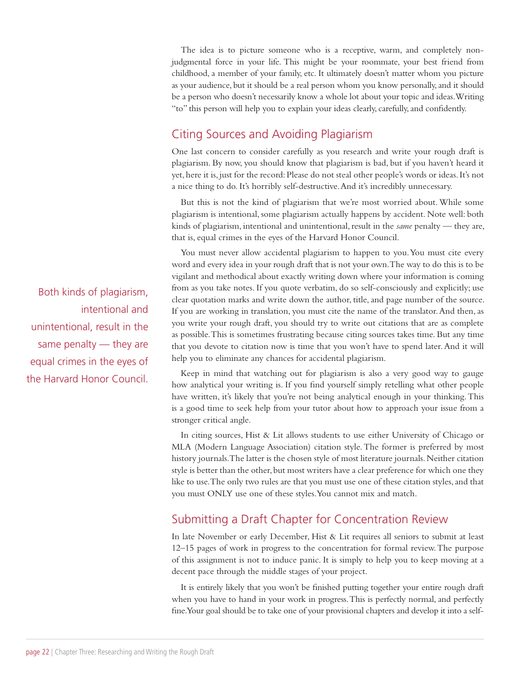The idea is to picture someone who is a receptive, warm, and completely nonjudgmental force in your life. This might be your roommate, your best friend from childhood, a member of your family, etc. It ultimately doesn't matter whom you picture as your audience, but it should be a real person whom you know personally, and it should be a person who doesn't necessarily know a whole lot about your topic and ideas. Writing "to" this person will help you to explain your ideas clearly, carefully, and confidently.

### Citing Sources and Avoiding Plagiarism

One last concern to consider carefully as you research and write your rough draft is plagiarism. By now, you should know that plagiarism is bad, but if you haven't heard it yet, here it is, just for the record: Please do not steal other people's words or ideas. It's not a nice thing to do. It's horribly self-destructive. And it's incredibly unnecessary.

But this is not the kind of plagiarism that we're most worried about. While some plagiarism is intentional, some plagiarism actually happens by accident. Note well: both kinds of plagiarism, intentional and unintentional, result in the *same* penalty — they are, that is, equal crimes in the eyes of the Harvard Honor Council.

You must never allow accidental plagiarism to happen to you. You must cite every word and every idea in your rough draft that is not your own. The way to do this is to be vigilant and methodical about exactly writing down where your information is coming from as you take notes. If you quote verbatim, do so self-consciously and explicitly; use clear quotation marks and write down the author, title, and page number of the source. If you are working in translation, you must cite the name of the translator. And then, as you write your rough draft, you should try to write out citations that are as complete as possible. This is sometimes frustrating because citing sources takes time. But any time that you devote to citation now is time that you won't have to spend later. And it will help you to eliminate any chances for accidental plagiarism.

Keep in mind that watching out for plagiarism is also a very good way to gauge how analytical your writing is. If you find yourself simply retelling what other people have written, it's likely that you're not being analytical enough in your thinking. This is a good time to seek help from your tutor about how to approach your issue from a stronger critical angle.

In citing sources, Hist & Lit allows students to use either University of Chicago or MLA (Modern Language Association) citation style. The former is preferred by most history journals. The latter is the chosen style of most literature journals. Neither citation style is better than the other, but most writers have a clear preference for which one they like to use. The only two rules are that you must use one of these citation styles, and that you must ONLY use one of these styles. You cannot mix and match.

### Submitting a Draft Chapter for Concentration Review

In late November or early December, Hist & Lit requires all seniors to submit at least 12–15 pages of work in progress to the concentration for formal review. The purpose of this assignment is not to induce panic. It is simply to help you to keep moving at a decent pace through the middle stages of your project.

It is entirely likely that you won't be finished putting together your entire rough draft when you have to hand in your work in progress. This is perfectly normal, and perfectly fine. Your goal should be to take one of your provisional chapters and develop it into a self-

Both kinds of plagiarism, intentional and unintentional, result in the same penalty — they are equal crimes in the eyes of the Harvard Honor Council.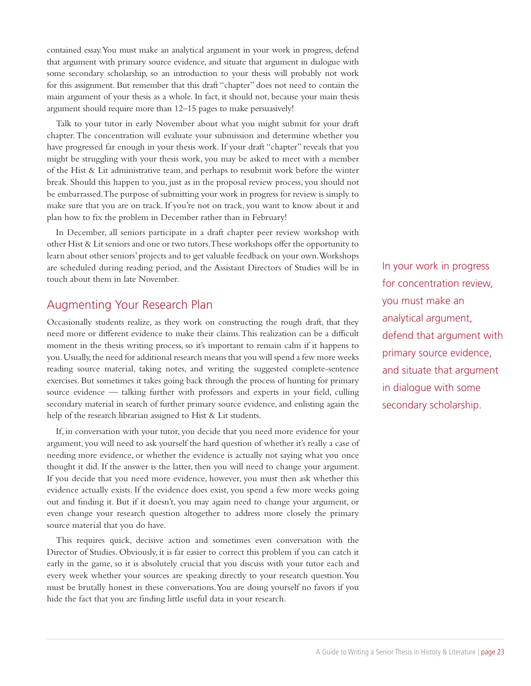contained essay. You must make an analytical argument in your work in progress, defend that argument with primary source evidence, and situate that argument in dialogue with some secondary scholarship, so an introduction to your thesis will probably not work for this assignment. But remember that this draft "chapter" does not need to contain the main argument of your thesis as a whole. In fact, it should not, because your main thesis argument should require more than 12–15 pages to make persuasively!

Talk to your tutor in early November about what you might submit for your draft chapter. The concentration will evaluate your submission and determine whether you have progressed far enough in your thesis work. If your draft "chapter" reveals that you might be struggling with your thesis work, you may be asked to meet with a member of the Hist & Lit administrative team, and perhaps to resubmit work before the winter break. Should this happen to you, just as in the proposal review process, you should not be embarrassed. The purpose of submitting your work in progress for review is simply to make sure that you are on track. If you're not on track, you want to know about it and plan how to fix the problem in December rather than in February!

In December, all seniors participate in a draft chapter peer review workshop with other Hist & Lit seniors and one or two tutors. These workshops offer the opportunity to learn about other seniors' projects and to get valuable feedback on your own. Workshops are scheduled during reading period, and the Assistant Directors of Studies will be in touch about them in late November.

#### Augmenting Your Research Plan

Occasionally students realize, as they work on constructing the rough draft, that they need more or different evidence to make their claims. This realization can be a difficult moment in the thesis writing process, so it's important to remain calm if it happens to you. Usually, the need for additional research means that you will spend a few more weeks reading source material, taking notes, and writing the suggested complete-sentence exercises. But sometimes it takes going back through the process of hunting for primary source evidence — talking further with professors and experts in your field, culling secondary material in search of further primary source evidence, and enlisting again the help of the research librarian assigned to Hist & Lit students.

If, in conversation with your tutor, you decide that you need more evidence for your argument, you will need to ask yourself the hard question of whether it's really a case of needing more evidence, or whether the evidence is actually not saying what you once thought it did. If the answer is the latter, then you will need to change your argument. If you decide that you need more evidence, however, you must then ask whether this evidence actually exists. If the evidence does exist, you spend a few more weeks going out and finding it. But if it doesn't, you may again need to change your argument, or even change your research question altogether to address more closely the primary source material that you do have.

This requires quick, decisive action and sometimes even conversation with the Director of Studies. Obviously, it is far easier to correct this problem if you can catch it early in the game, so it is absolutely crucial that you discuss with your tutor each and every week whether your sources are speaking directly to your research question. You must be brutally honest in these conversations. You are doing yourself no favors if you hide the fact that you are finding little useful data in your research.

In your work in progress for concentration review, you must make an analytical argument, defend that argument with primary source evidence, and situate that argument in dialogue with some secondary scholarship.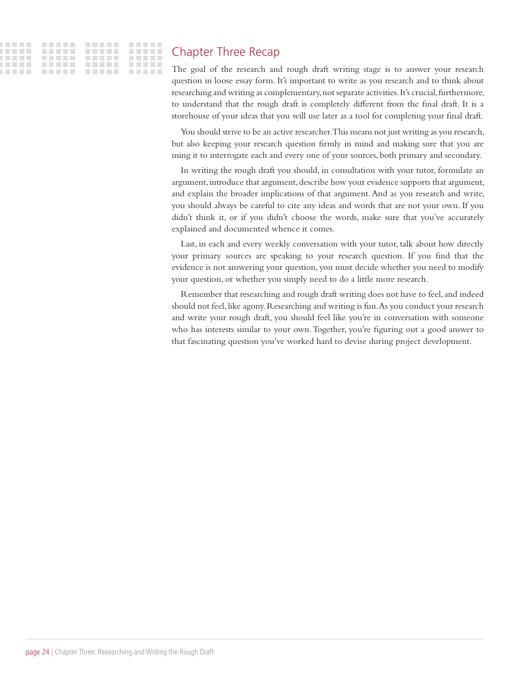#### Chapter Three Recap

The goal of the research and rough draft writing stage is to answer your research question in loose essay form. It's important to write as you research and to think about researching and writing as complementary, not separate activities. It's crucial, furthermore, to understand that the rough draft is completely different from the final draft. It is a storehouse of your ideas that you will use later as a tool for completing your final draft.

You should strive to be an active researcher. This means not just writing as you research, but also keeping your research question firmly in mind and making sure that you are using it to interrogate each and every one of your sources, both primary and secondary.

In writing the rough draft you should, in consultation with your tutor, formulate an argument, introduce that argument, describe how your evidence supports that argument, and explain the broader implications of that argument. And as you research and write, you should always be careful to cite any ideas and words that are not your own. If you didn't think it, or if you didn't choose the words, make sure that you've accurately explained and documented whence it comes.

Last, in each and every weekly conversation with your tutor, talk about how directly your primary sources are speaking to your research question. If you find that the evidence is not answering your question, you must decide whether you need to modify your question, or whether you simply need to do a little more research.

Remember that researching and rough draft writing does not have to feel, and indeed should not feel, like agony. Researching and writing is fun. As you conduct your research and write your rough draft, you should feel like you're in conversation with someone who has interests similar to your own. Together, you're figuring out a good answer to that fascinating question you've worked hard to devise during project development.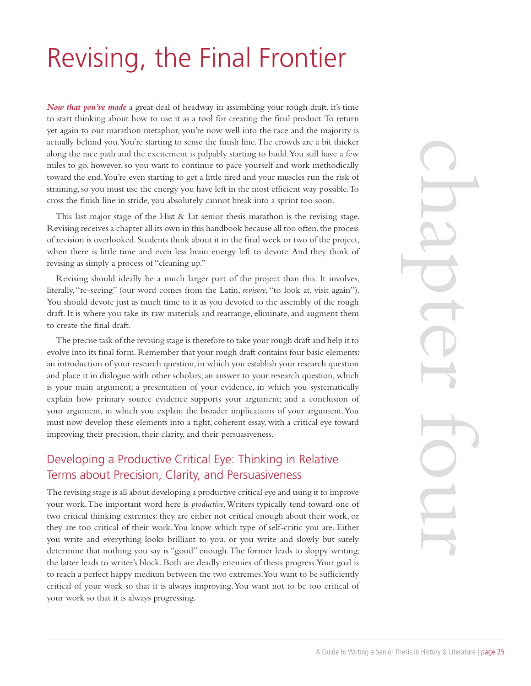# Revising, the Final Frontier

*Now that you've made* a great deal of headway in assembling your rough draft, it's time to start thinking about how to use it as a tool for creating the final product. To return yet again to our marathon metaphor, you're now well into the race and the majority is actually behind you. You're starting to sense the finish line. The crowds are a bit thicker along the race path and the excitement is palpably starting to build. You still have a few miles to go, however, so you want to continue to pace yourself and work methodically toward the end. You're even starting to get a little tired and your muscles run the risk of straining, so you must use the energy you have left in the most efficient way possible. To cross the finish line in stride, you absolutely cannot break into a sprint too soon.

This last major stage of the Hist  $\&$  Lit senior thesis marathon is the revising stage. Revising receives a chapter all its own in this handbook because all too often, the process of revision is overlooked. Students think about it in the final week or two of the project, when there is little time and even less brain energy left to devote. And they think of revising as simply a process of "cleaning up."

Revising should ideally be a much larger part of the project than this. It involves, literally, "re-seeing" (our word comes from the Latin, *revisere*, "to look at, visit again"). You should devote just as much time to it as you devoted to the assembly of the rough draft. It is where you take its raw materials and rearrange, eliminate, and augment them to create the final draft.

The precise task of the revising stage is therefore to take your rough draft and help it to evolve into its final form. Remember that your rough draft contains four basic elements: an introduction of your research question, in which you establish your research question and place it in dialogue with other scholars; an answer to your research question, which is your main argument; a presentation of your evidence, in which you systematically explain how primary source evidence supports your argument; and a conclusion of your argument, in which you explain the broader implications of your argument. You must now develop these elements into a tight, coherent essay, with a critical eye toward improving their precision, their clarity, and their persuasiveness.

### Developing a Productive Critical Eye: Thinking in Relative Terms about Precision, Clarity, and Persuasiveness

The revising stage is all about developing a productive critical eye and using it to improve your work. The important word here is *productive*. Writers typically tend toward one of two critical thinking extremes: they are either not critical enough about their work, or they are too critical of their work. You know which type of self-critic you are. Either you write and everything looks brilliant to you, or you write and slowly but surely determine that nothing you say is "good" enough. The former leads to sloppy writing; the latter leads to writer's block. Both are deadly enemies of thesis progress. Your goal is to reach a perfect happy medium between the two extremes. You want to be sufficiently critical of your work so that it is always improving. You want not to be too critical of your work so that it is always progressing.

chapter four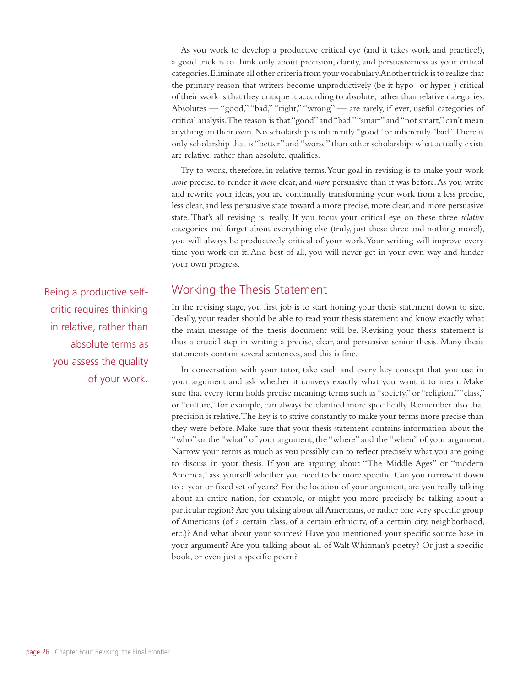As you work to develop a productive critical eye (and it takes work and practice!), a good trick is to think only about precision, clarity, and persuasiveness as your critical categories. Eliminate all other criteria from your vocabulary. Another trick is to realize that the primary reason that writers become unproductively (be it hypo- or hyper-) critical of their work is that they critique it according to absolute, rather than relative categories. Absolutes — "good," "bad," "right," "wrong" — are rarely, if ever, useful categories of critical analysis. The reason is that "good" and "bad," "smart" and "not smart," can't mean anything on their own. No scholarship is inherently "good" or inherently "bad." There is only scholarship that is "better" and "worse" than other scholarship: what actually exists are relative, rather than absolute, qualities.

Try to work, therefore, in relative terms. Your goal in revising is to make your work *more* precise, to render it *more* clear, and *more* persuasive than it was before. As you write and rewrite your ideas, you are continually transforming your work from a less precise, less clear, and less persuasive state toward a more precise, more clear, and more persuasive state. That's all revising is, really. If you focus your critical eye on these three *relative* categories and forget about everything else (truly, just these three and nothing more!), you will always be productively critical of your work. Your writing will improve every time you work on it. And best of all, you will never get in your own way and hinder your own progress.

Working the Thesis Statement

In the revising stage, you first job is to start honing your thesis statement down to size. Ideally, your reader should be able to read your thesis statement and know exactly what the main message of the thesis document will be. Revising your thesis statement is thus a crucial step in writing a precise, clear, and persuasive senior thesis. Many thesis statements contain several sentences, and this is fine.

In conversation with your tutor, take each and every key concept that you use in your argument and ask whether it conveys exactly what you want it to mean. Make sure that every term holds precise meaning: terms such as "society," or "religion," "class," or "culture," for example, can always be clarified more specifically. Remember also that precision is relative. The key is to strive constantly to make your terms more precise than they were before. Make sure that your thesis statement contains information about the "who" or the "what" of your argument, the "where" and the "when" of your argument. Narrow your terms as much as you possibly can to reflect precisely what you are going to discuss in your thesis. If you are arguing about "The Middle Ages" or "modern America," ask yourself whether you need to be more specific. Can you narrow it down to a year or fixed set of years? For the location of your argument, are you really talking about an entire nation, for example, or might you more precisely be talking about a particular region? Are you talking about all Americans, or rather one very specific group of Americans (of a certain class, of a certain ethnicity, of a certain city, neighborhood, etc.)? And what about your sources? Have you mentioned your specific source base in your argument? Are you talking about all of Walt Whitman's poetry? Or just a specific book, or even just a specific poem?

Being a productive selfcritic requires thinking in relative, rather than absolute terms as you assess the quality of your work.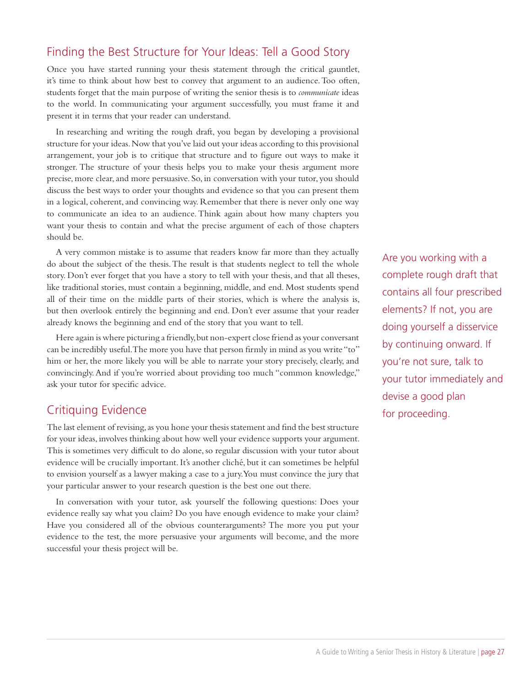### Finding the Best Structure for Your Ideas: Tell a Good Story

Once you have started running your thesis statement through the critical gauntlet, it's time to think about how best to convey that argument to an audience. Too often, students forget that the main purpose of writing the senior thesis is to *communicate* ideas to the world. In communicating your argument successfully, you must frame it and present it in terms that your reader can understand.

In researching and writing the rough draft, you began by developing a provisional structure for your ideas. Now that you've laid out your ideas according to this provisional arrangement, your job is to critique that structure and to figure out ways to make it stronger. The structure of your thesis helps you to make your thesis argument more precise, more clear, and more persuasive. So, in conversation with your tutor, you should discuss the best ways to order your thoughts and evidence so that you can present them in a logical, coherent, and convincing way. Remember that there is never only one way to communicate an idea to an audience. Think again about how many chapters you want your thesis to contain and what the precise argument of each of those chapters should be.

A very common mistake is to assume that readers know far more than they actually do about the subject of the thesis. The result is that students neglect to tell the whole story. Don't ever forget that you have a story to tell with your thesis, and that all theses, like traditional stories, must contain a beginning, middle, and end. Most students spend all of their time on the middle parts of their stories, which is where the analysis is, but then overlook entirely the beginning and end. Don't ever assume that your reader already knows the beginning and end of the story that you want to tell.

Here again is where picturing a friendly, but non-expert close friend as your conversant can be incredibly useful. The more you have that person firmly in mind as you write "to" him or her, the more likely you will be able to narrate your story precisely, clearly, and convincingly. And if you're worried about providing too much "common knowledge," ask your tutor for specific advice.

#### Critiquing Evidence

The last element of revising, as you hone your thesis statement and find the best structure for your ideas, involves thinking about how well your evidence supports your argument. This is sometimes very difficult to do alone, so regular discussion with your tutor about evidence will be crucially important. It's another cliché, but it can sometimes be helpful to envision yourself as a lawyer making a case to a jury. You must convince the jury that your particular answer to your research question is the best one out there.

In conversation with your tutor, ask yourself the following questions: Does your evidence really say what you claim? Do you have enough evidence to make your claim? Have you considered all of the obvious counterarguments? The more you put your evidence to the test, the more persuasive your arguments will become, and the more successful your thesis project will be.

Are you working with a complete rough draft that contains all four prescribed elements? If not, you are doing yourself a disservice by continuing onward. If you're not sure, talk to your tutor immediately and devise a good plan for proceeding.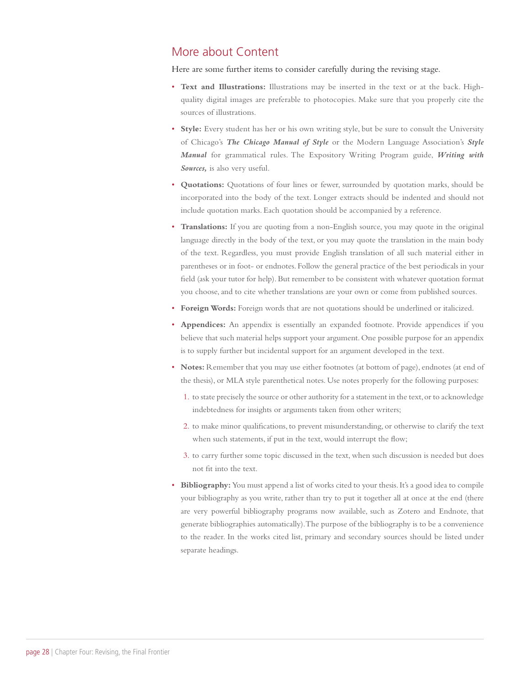#### More about Content

Here are some further items to consider carefully during the revising stage.

- **Text and Illustrations:** Illustrations may be inserted in the text or at the back. Highquality digital images are preferable to photocopies. Make sure that you properly cite the sources of illustrations.
- **Style:** Every student has her or his own writing style, but be sure to consult the University of Chicago's *The Chicago Manual of Style* or the Modern Language Association's *Style Manual* for grammatical rules. The Expository Writing Program guide, *Writing with Sources,* is also very useful.
- **Quotations:** Quotations of four lines or fewer, surrounded by quotation marks, should be incorporated into the body of the text. Longer extracts should be indented and should not include quotation marks. Each quotation should be accompanied by a reference.
- **Translations:** If you are quoting from a non-English source, you may quote in the original language directly in the body of the text, or you may quote the translation in the main body of the text. Regardless, you must provide English translation of all such material either in parentheses or in foot- or endnotes. Follow the general practice of the best periodicals in your field (ask your tutor for help). But remember to be consistent with whatever quotation format you choose, and to cite whether translations are your own or come from published sources.
- **Foreign Words:** Foreign words that are not quotations should be underlined or italicized.
- **Appendices:** An appendix is essentially an expanded footnote. Provide appendices if you believe that such material helps support your argument. One possible purpose for an appendix is to supply further but incidental support for an argument developed in the text.
- **Notes:** Remember that you may use either footnotes (at bottom of page), endnotes (at end of the thesis), or MLA style parenthetical notes. Use notes properly for the following purposes:
	- 1. to state precisely the source or other authority for a statement in the text, or to acknowledge indebtedness for insights or arguments taken from other writers;
	- 2. to make minor qualifications, to prevent misunderstanding, or otherwise to clarify the text when such statements, if put in the text, would interrupt the flow;
	- 3. to carry further some topic discussed in the text, when such discussion is needed but does not fit into the text.
- **Bibliography:** You must append a list of works cited to your thesis. It's a good idea to compile your bibliography as you write, rather than try to put it together all at once at the end (there are very powerful bibliography programs now available, such as Zotero and Endnote, that generate bibliographies automatically). The purpose of the bibliography is to be a convenience to the reader. In the works cited list, primary and secondary sources should be listed under separate headings.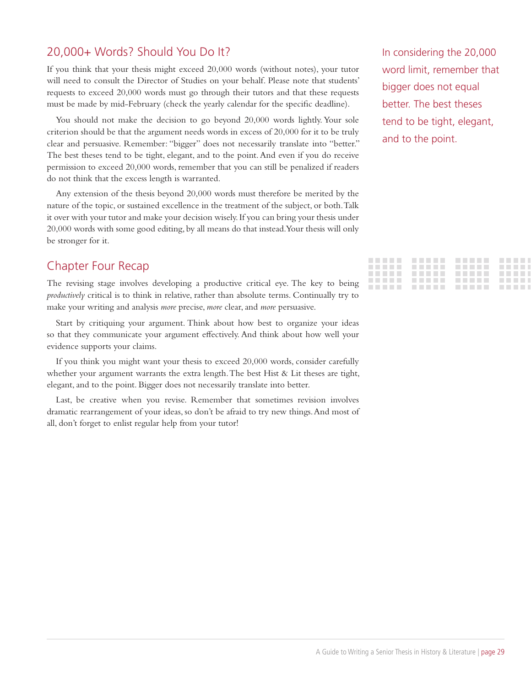#### 20,000+ Words? Should You Do It?

If you think that your thesis might exceed 20,000 words (without notes), your tutor will need to consult the Director of Studies on your behalf. Please note that students' requests to exceed 20,000 words must go through their tutors and that these requests must be made by mid-February (check the yearly calendar for the specific deadline).

You should not make the decision to go beyond 20,000 words lightly. Your sole criterion should be that the argument needs words in excess of 20,000 for it to be truly clear and persuasive. Remember: "bigger" does not necessarily translate into "better." The best theses tend to be tight, elegant, and to the point. And even if you do receive permission to exceed 20,000 words, remember that you can still be penalized if readers do not think that the excess length is warranted.

Any extension of the thesis beyond 20,000 words must therefore be merited by the nature of the topic, or sustained excellence in the treatment of the subject, or both. Talk it over with your tutor and make your decision wisely. If you can bring your thesis under 20,000 words with some good editing, by all means do that instead. Your thesis will only be stronger for it.

#### Chapter Four Recap

The revising stage involves developing a productive critical eye. The key to being *productively* critical is to think in relative, rather than absolute terms. Continually try to make your writing and analysis *more* precise, *more* clear, and *more* persuasive.

Start by critiquing your argument. Think about how best to organize your ideas so that they communicate your argument effectively. And think about how well your evidence supports your claims.

If you think you might want your thesis to exceed 20,000 words, consider carefully whether your argument warrants the extra length. The best Hist & Lit theses are tight, elegant, and to the point. Bigger does not necessarily translate into better.

Last, be creative when you revise. Remember that sometimes revision involves dramatic rearrangement of your ideas, so don't be afraid to try new things. And most of all, don't forget to enlist regular help from your tutor!

In considering the 20,000 word limit, remember that bigger does not equal better. The best theses tend to be tight, elegant, and to the point.

| _____________________ |  |
|-----------------------|--|
| _____________________ |  |
| _____________________ |  |
|                       |  |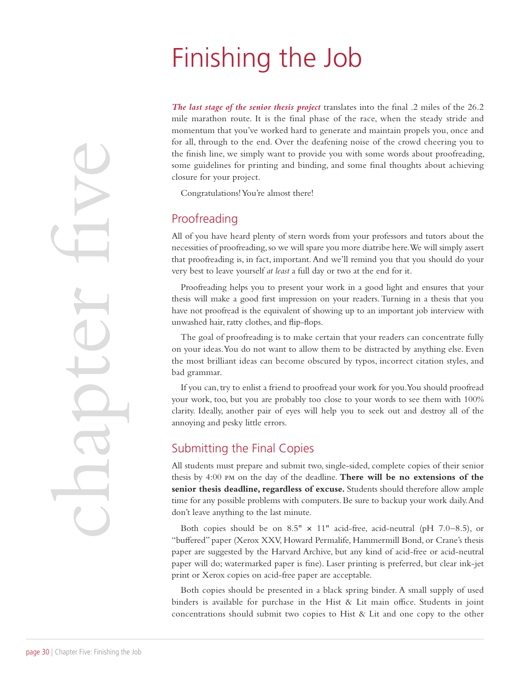## Finishing the Job

*The last stage of the senior thesis project* translates into the final .2 miles of the 26.2 mile marathon route. It is the final phase of the race, when the steady stride and momentum that you've worked hard to generate and maintain propels you, once and for all, through to the end. Over the deafening noise of the crowd cheering you to the finish line, we simply want to provide you with some words about proofreading, some guidelines for printing and binding, and some final thoughts about achieving closure for your project.

Congratulations! You're almost there!

### Proofreading

All of you have heard plenty of stern words from your professors and tutors about the necessities of proofreading, so we will spare you more diatribe here. We will simply assert that proofreading is, in fact, important. And we'll remind you that you should do your very best to leave yourself *at least* a full day or two at the end for it.

Proofreading helps you to present your work in a good light and ensures that your thesis will make a good first impression on your readers. Turning in a thesis that you have not proofread is the equivalent of showing up to an important job interview with unwashed hair, ratty clothes, and flip-flops.

The goal of proofreading is to make certain that your readers can concentrate fully on your ideas. You do not want to allow them to be distracted by anything else. Even the most brilliant ideas can become obscured by typos, incorrect citation styles, and bad grammar.

If you can, try to enlist a friend to proofread your work for you. You should proofread your work, too, but you are probably too close to your words to see them with 100% clarity. Ideally, another pair of eyes will help you to seek out and destroy all of the annoying and pesky little errors.

#### Submitting the Final Copies

All students must prepare and submit two, single-sided, complete copies of their senior thesis by 4:00 pm on the day of the deadline. **There will be no extensions of the senior thesis deadline, regardless of excuse.** Students should therefore allow ample time for any possible problems with computers. Be sure to backup your work daily. And don't leave anything to the last minute.

Both copies should be on  $8.5" \times 11"$  acid-free, acid-neutral (pH 7.0-8.5), or "buffered" paper (Xerox XXV, Howard Permalife, Hammermill Bond, or Crane's thesis paper are suggested by the Harvard Archive, but any kind of acid-free or acid-neutral paper will do; watermarked paper is fine). Laser printing is preferred, but clear ink-jet print or Xerox copies on acid-free paper are acceptable.

Both copies should be presented in a black spring binder. A small supply of used binders is available for purchase in the Hist  $\&$  Lit main office. Students in joint concentrations should submit two copies to Hist & Lit and one copy to the other

page 30 | Chapter Five: Finishing the Job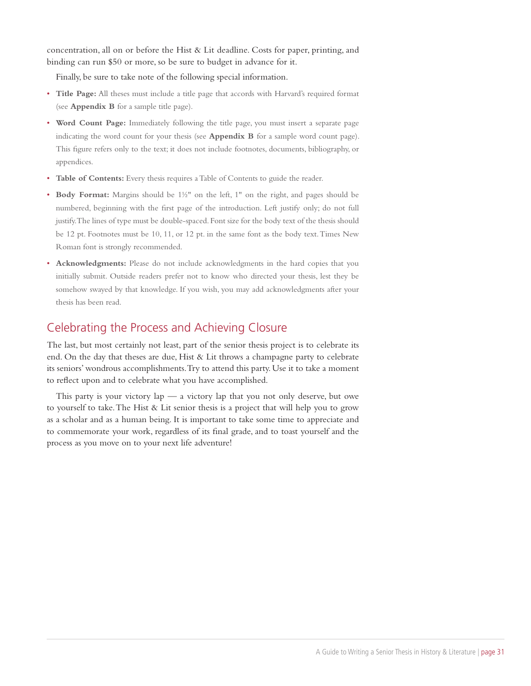concentration, all on or before the Hist & Lit deadline. Costs for paper, printing, and binding can run \$50 or more, so be sure to budget in advance for it.

Finally, be sure to take note of the following special information.

- **Title Page:** All theses must include a title page that accords with Harvard's required format (see **Appendix B** for a sample title page).
- **Word Count Page:** Immediately following the title page, you must insert a separate page indicating the word count for your thesis (see **Appendix B** for a sample word count page). This figure refers only to the text; it does not include footnotes, documents, bibliography, or appendices.
- **Table of Contents:** Every thesis requires a Table of Contents to guide the reader.
- **Body Format:** Margins should be 1½" on the left, 1" on the right, and pages should be numbered, beginning with the first page of the introduction. Left justify only; do not full justify. The lines of type must be double-spaced. Font size for the body text of the thesis should be 12 pt. Footnotes must be 10, 11, or 12 pt. in the same font as the body text. Times New Roman font is strongly recommended.
- **Acknowledgments:** Please do not include acknowledgments in the hard copies that you initially submit. Outside readers prefer not to know who directed your thesis, lest they be somehow swayed by that knowledge. If you wish, you may add acknowledgments after your thesis has been read.

### Celebrating the Process and Achieving Closure

The last, but most certainly not least, part of the senior thesis project is to celebrate its end. On the day that theses are due, Hist & Lit throws a champagne party to celebrate its seniors' wondrous accomplishments. Try to attend this party. Use it to take a moment to reflect upon and to celebrate what you have accomplished.

This party is your victory  $\log_2$  — a victory  $\log$  that you not only deserve, but owe to yourself to take. The Hist & Lit senior thesis is a project that will help you to grow as a scholar and as a human being. It is important to take some time to appreciate and to commemorate your work, regardless of its final grade, and to toast yourself and the process as you move on to your next life adventure!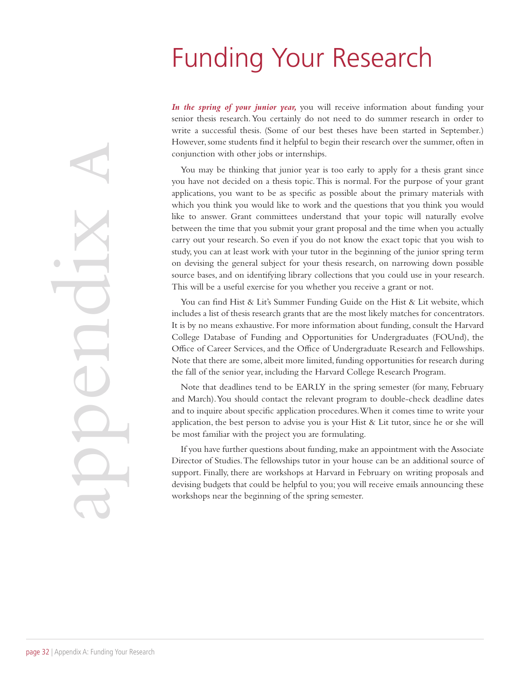## Funding Your Research

*In the spring of your junior year,* you will receive information about funding your senior thesis research. You certainly do not need to do summer research in order to write a successful thesis. (Some of our best theses have been started in September.) However, some students find it helpful to begin their research over the summer, often in conjunction with other jobs or internships.

You may be thinking that junior year is too early to apply for a thesis grant since you have not decided on a thesis topic. This is normal. For the purpose of your grant applications, you want to be as specific as possible about the primary materials with which you think you would like to work and the questions that you think you would like to answer. Grant committees understand that your topic will naturally evolve between the time that you submit your grant proposal and the time when you actually carry out your research. So even if you do not know the exact topic that you wish to study, you can at least work with your tutor in the beginning of the junior spring term on devising the general subject for your thesis research, on narrowing down possible source bases, and on identifying library collections that you could use in your research. This will be a useful exercise for you whether you receive a grant or not.

You can find Hist & Lit's Summer Funding Guide on the Hist & Lit website, which includes a list of thesis research grants that are the most likely matches for concentrators. It is by no means exhaustive. For more information about funding, consult the Harvard College Database of Funding and Opportunities for Undergraduates (FOUnd), the Office of Career Services, and the Office of Undergraduate Research and Fellowships. Note that there are some, albeit more limited, funding opportunities for research during the fall of the senior year, including the Harvard College Research Program.

Note that deadlines tend to be EARLY in the spring semester (for many, February and March). You should contact the relevant program to double-check deadline dates and to inquire about specific application procedures. When it comes time to write your application, the best person to advise you is your Hist  $\&$  Lit tutor, since he or she will be most familiar with the project you are formulating.

If you have further questions about funding, make an appointment with the Associate Director of Studies. The fellowships tutor in your house can be an additional source of support. Finally, there are workshops at Harvard in February on writing proposals and devising budgets that could be helpful to you; you will receive emails announcing these workshops near the beginning of the spring semester.

appendix a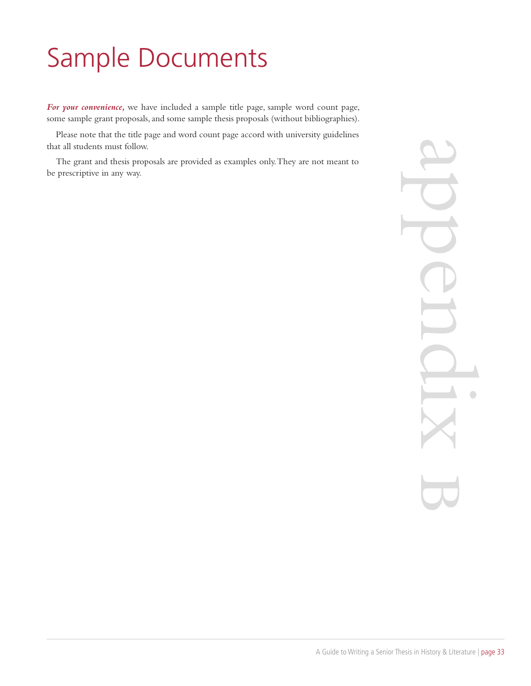# Sample Documents

*For your convenience,* we have included a sample title page, sample word count page, some sample grant proposals, and some sample thesis proposals (without bibliographies).

Please note that the title page and word count page accord with university guidelines that all students must follow.

The grant and thesis proposals are provided as examples only. They are not meant to be prescriptive in any way.

appendix b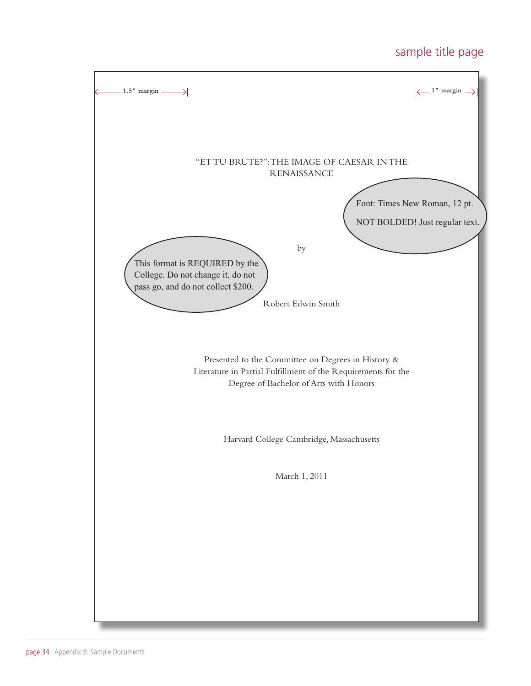### sample title page

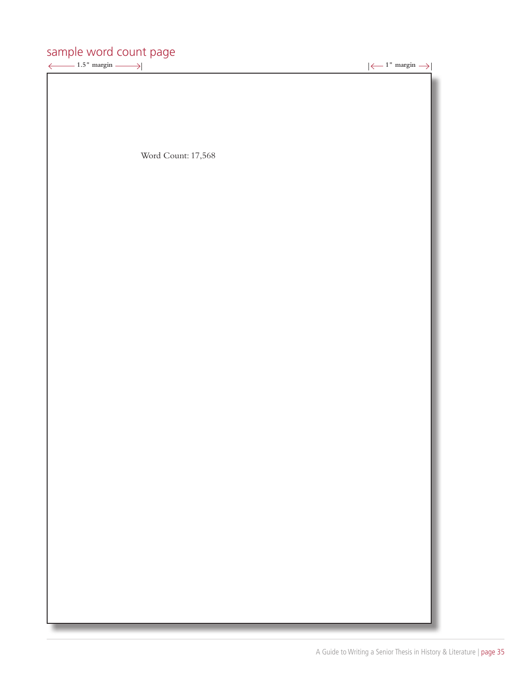## sample word count page<br> $\xleftarrow{+}$  1.5" margin  $\longrightarrow$

 $\rightarrow$   $\left| \leftarrow$  1" margin  $\rightarrow$   $\right|$ 

Word Count: 17,568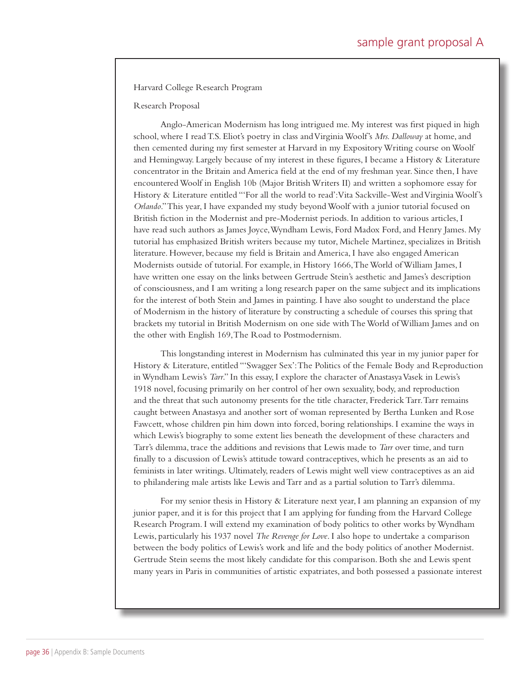Harvard College Research Program

Research Proposal

Anglo-American Modernism has long intrigued me. My interest was first piqued in high school, where I read T.S. Eliot's poetry in class and Virginia Woolf's *Mrs. Dalloway* at home, and then cemented during my first semester at Harvard in my Expository Writing course on Woolf and Hemingway. Largely because of my interest in these figures, I became a History & Literature concentrator in the Britain and America field at the end of my freshman year. Since then, I have encountered Woolf in English 10b (Major British Writers II) and written a sophomore essay for History & Literature entitled "'For all the world to read': Vita Sackville-West and Virginia Woolf's *Orlando*." This year, I have expanded my study beyond Woolf with a junior tutorial focused on British fiction in the Modernist and pre-Modernist periods. In addition to various articles, I have read such authors as James Joyce, Wyndham Lewis, Ford Madox Ford, and Henry James. My tutorial has emphasized British writers because my tutor, Michele Martinez, specializes in British literature. However, because my field is Britain and America, I have also engaged American Modernists outside of tutorial. For example, in History 1666, The World of William James, I have written one essay on the links between Gertrude Stein's aesthetic and James's description of consciousness, and I am writing a long research paper on the same subject and its implications for the interest of both Stein and James in painting. I have also sought to understand the place of Modernism in the history of literature by constructing a schedule of courses this spring that brackets my tutorial in British Modernism on one side with The World of William James and on the other with English 169, The Road to Postmodernism.

This longstanding interest in Modernism has culminated this year in my junior paper for History & Literature, entitled "'Swagger Sex': The Politics of the Female Body and Reproduction in Wyndham Lewis's *Tarr*." In this essay, I explore the character of Anastasya Vasek in Lewis's 1918 novel, focusing primarily on her control of her own sexuality, body, and reproduction and the threat that such autonomy presents for the title character, Frederick Tarr. Tarr remains caught between Anastasya and another sort of woman represented by Bertha Lunken and Rose Fawcett, whose children pin him down into forced, boring relationships. I examine the ways in which Lewis's biography to some extent lies beneath the development of these characters and Tarr's dilemma, trace the additions and revisions that Lewis made to *Tarr* over time, and turn finally to a discussion of Lewis's attitude toward contraceptives, which he presents as an aid to feminists in later writings. Ultimately, readers of Lewis might well view contraceptives as an aid to philandering male artists like Lewis and Tarr and as a partial solution to Tarr's dilemma.

For my senior thesis in History & Literature next year, I am planning an expansion of my junior paper, and it is for this project that I am applying for funding from the Harvard College Research Program. I will extend my examination of body politics to other works by Wyndham Lewis, particularly his 1937 novel *The Revenge for Love*. I also hope to undertake a comparison between the body politics of Lewis's work and life and the body politics of another Modernist. Gertrude Stein seems the most likely candidate for this comparison. Both she and Lewis spent many years in Paris in communities of artistic expatriates, and both possessed a passionate interest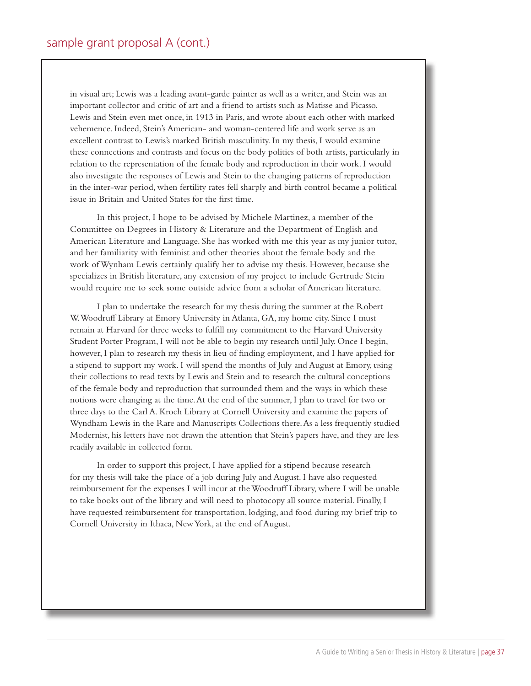in visual art; Lewis was a leading avant-garde painter as well as a writer, and Stein was an important collector and critic of art and a friend to artists such as Matisse and Picasso. Lewis and Stein even met once, in 1913 in Paris, and wrote about each other with marked vehemence. Indeed, Stein's American- and woman-centered life and work serve as an excellent contrast to Lewis's marked British masculinity. In my thesis, I would examine these connections and contrasts and focus on the body politics of both artists, particularly in relation to the representation of the female body and reproduction in their work. I would also investigate the responses of Lewis and Stein to the changing patterns of reproduction in the inter-war period, when fertility rates fell sharply and birth control became a political issue in Britain and United States for the first time.

In this project, I hope to be advised by Michele Martinez, a member of the Committee on Degrees in History & Literature and the Department of English and American Literature and Language. She has worked with me this year as my junior tutor, and her familiarity with feminist and other theories about the female body and the work of Wynham Lewis certainly qualify her to advise my thesis. However, because she specializes in British literature, any extension of my project to include Gertrude Stein would require me to seek some outside advice from a scholar of American literature.

I plan to undertake the research for my thesis during the summer at the Robert W. Woodruff Library at Emory University in Atlanta, GA, my home city. Since I must remain at Harvard for three weeks to fulfill my commitment to the Harvard University Student Porter Program, I will not be able to begin my research until July. Once I begin, however, I plan to research my thesis in lieu of finding employment, and I have applied for a stipend to support my work. I will spend the months of July and August at Emory, using their collections to read texts by Lewis and Stein and to research the cultural conceptions of the female body and reproduction that surrounded them and the ways in which these notions were changing at the time. At the end of the summer, I plan to travel for two or three days to the Carl A. Kroch Library at Cornell University and examine the papers of Wyndham Lewis in the Rare and Manuscripts Collections there. As a less frequently studied Modernist, his letters have not drawn the attention that Stein's papers have, and they are less readily available in collected form.

In order to support this project, I have applied for a stipend because research for my thesis will take the place of a job during July and August. I have also requested reimbursement for the expenses I will incur at the Woodruff Library, where I will be unable to take books out of the library and will need to photocopy all source material. Finally, I have requested reimbursement for transportation, lodging, and food during my brief trip to Cornell University in Ithaca, New York, at the end of August.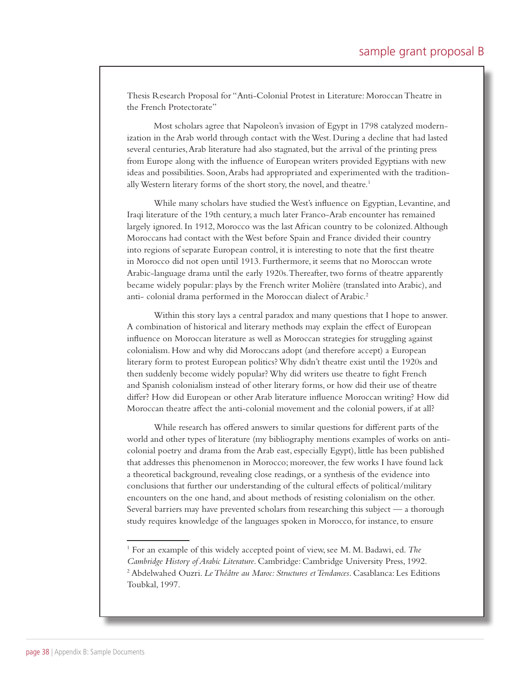Thesis Research Proposal for "Anti-Colonial Protest in Literature: Moroccan Theatre in the French Protectorate"

Most scholars agree that Napoleon's invasion of Egypt in 1798 catalyzed modernization in the Arab world through contact with the West. During a decline that had lasted several centuries, Arab literature had also stagnated, but the arrival of the printing press from Europe along with the influence of European writers provided Egyptians with new ideas and possibilities. Soon, Arabs had appropriated and experimented with the traditionally Western literary forms of the short story, the novel, and theatre.<sup>1</sup>

While many scholars have studied the West's influence on Egyptian, Levantine, and Iraqi literature of the 19th century, a much later Franco-Arab encounter has remained largely ignored. In 1912, Morocco was the last African country to be colonized. Although Moroccans had contact with the West before Spain and France divided their country into regions of separate European control, it is interesting to note that the first theatre in Morocco did not open until 1913. Furthermore, it seems that no Moroccan wrote Arabic-language drama until the early 1920s. Thereafter, two forms of theatre apparently became widely popular: plays by the French writer Molière (translated into Arabic), and anti- colonial drama performed in the Moroccan dialect of Arabic.<sup>2</sup>

Within this story lays a central paradox and many questions that I hope to answer. A combination of historical and literary methods may explain the effect of European influence on Moroccan literature as well as Moroccan strategies for struggling against colonialism. How and why did Moroccans adopt (and therefore accept) a European literary form to protest European politics? Why didn't theatre exist until the 1920s and then suddenly become widely popular? Why did writers use theatre to fight French and Spanish colonialism instead of other literary forms, or how did their use of theatre differ? How did European or other Arab literature influence Moroccan writing? How did Moroccan theatre affect the anti-colonial movement and the colonial powers, if at all?

While research has offered answers to similar questions for different parts of the world and other types of literature (my bibliography mentions examples of works on anticolonial poetry and drama from the Arab east, especially Egypt), little has been published that addresses this phenomenon in Morocco; moreover, the few works I have found lack a theoretical background, revealing close readings, or a synthesis of the evidence into conclusions that further our understanding of the cultural effects of political/military encounters on the one hand, and about methods of resisting colonialism on the other. Several barriers may have prevented scholars from researching this subject — a thorough study requires knowledge of the languages spoken in Morocco, for instance, to ensure

<sup>&</sup>lt;sup>1</sup> For an example of this widely accepted point of view, see M. M. Badawi, ed. The *Cambridge History of Arabic Literature*. Cambridge: Cambridge University Press, 1992. 2 Abdelwahed Ouzri. *Le Théâtre au Maroc: Structures et Tendances*. Casablanca: Les Editions Toubkal, 1997.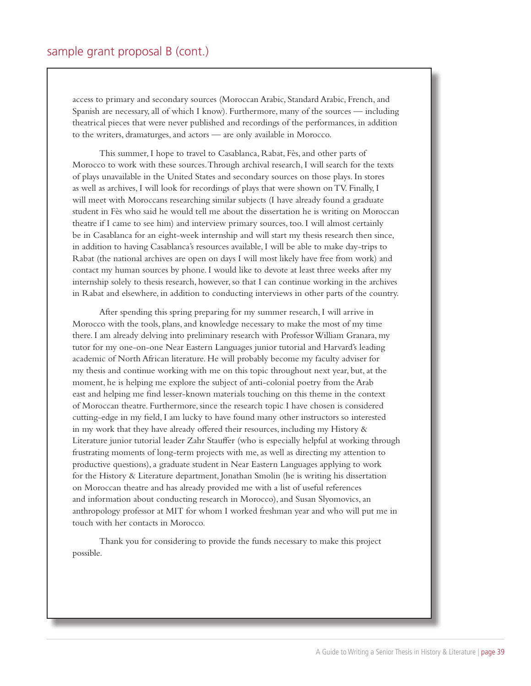access to primary and secondary sources (Moroccan Arabic, Standard Arabic, French, and Spanish are necessary, all of which I know). Furthermore, many of the sources — including theatrical pieces that were never published and recordings of the performances, in addition to the writers, dramaturges, and actors — are only available in Morocco.

This summer, I hope to travel to Casablanca, Rabat, Fès, and other parts of Morocco to work with these sources. Through archival research, I will search for the texts of plays unavailable in the United States and secondary sources on those plays. In stores as well as archives, I will look for recordings of plays that were shown on TV. Finally, I will meet with Moroccans researching similar subjects (I have already found a graduate student in Fès who said he would tell me about the dissertation he is writing on Moroccan theatre if I came to see him) and interview primary sources, too. I will almost certainly be in Casablanca for an eight-week internship and will start my thesis research then since, in addition to having Casablanca's resources available, I will be able to make day-trips to Rabat (the national archives are open on days I will most likely have free from work) and contact my human sources by phone. I would like to devote at least three weeks after my internship solely to thesis research, however, so that I can continue working in the archives in Rabat and elsewhere, in addition to conducting interviews in other parts of the country.

After spending this spring preparing for my summer research, I will arrive in Morocco with the tools, plans, and knowledge necessary to make the most of my time there. I am already delving into preliminary research with Professor William Granara, my tutor for my one-on-one Near Eastern Languages junior tutorial and Harvard's leading academic of North African literature. He will probably become my faculty adviser for my thesis and continue working with me on this topic throughout next year, but, at the moment, he is helping me explore the subject of anti-colonial poetry from the Arab east and helping me find lesser-known materials touching on this theme in the context of Moroccan theatre. Furthermore, since the research topic I have chosen is considered cutting-edge in my field, I am lucky to have found many other instructors so interested in my work that they have already offered their resources, including my History & Literature junior tutorial leader Zahr Stauffer (who is especially helpful at working through frustrating moments of long-term projects with me, as well as directing my attention to productive questions), a graduate student in Near Eastern Languages applying to work for the History & Literature department, Jonathan Smolin (he is writing his dissertation on Moroccan theatre and has already provided me with a list of useful references and information about conducting research in Morocco), and Susan Slyomovics, an anthropology professor at MIT for whom I worked freshman year and who will put me in touch with her contacts in Morocco.

Thank you for considering to provide the funds necessary to make this project possible.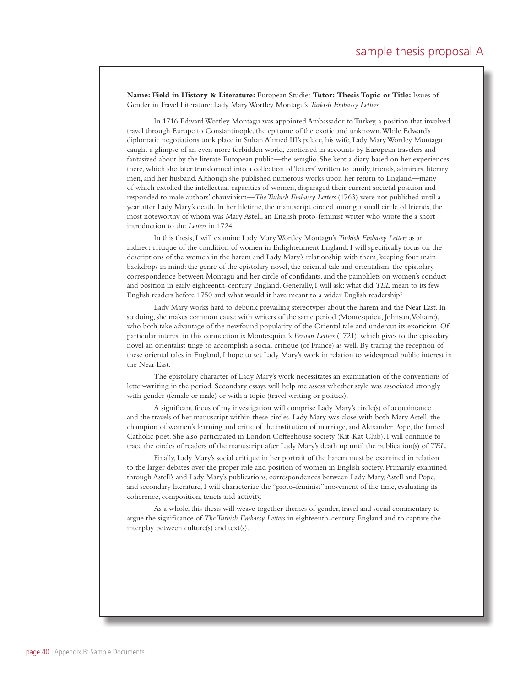**Name: Field in History & Literature:** European Studies **Tutor: Thesis Topic or Title:** Issues of Gender in Travel Literature: Lady Mary Wortley Montagu's *Turkish Embassy Letters*

In 1716 Edward Wortley Montagu was appointed Ambassador to Turkey, a position that involved travel through Europe to Constantinople, the epitome of the exotic and unknown. While Edward's diplomatic negotiations took place in Sultan Ahmed III's palace, his wife, Lady Mary Wortley Montagu caught a glimpse of an even more forbidden world, exoticised in accounts by European travelers and fantasized about by the literate European public—the seraglio. She kept a diary based on her experiences there, which she later transformed into a collection of 'letters' written to family, friends, admirers, literary men, and her husband. Although she published numerous works upon her return to England—many of which extolled the intellectual capacities of women, disparaged their current societal position and responded to male authors' chauvinism—*The Turkish Embassy Letters* (1763) were not published until a year after Lady Mary's death. In her lifetime, the manuscript circled among a small circle of friends, the most noteworthy of whom was Mary Astell, an English proto-feminist writer who wrote the a short introduction to the *Letters* in 1724.

In this thesis, I will examine Lady Mary Wortley Montagu's *Turkish Embassy Letters* as an indirect critique of the condition of women in Enlightenment England. I will specifically focus on the descriptions of the women in the harem and Lady Mary's relationship with them, keeping four main backdrops in mind: the genre of the epistolary novel, the oriental tale and orientalism, the epistolary correspondence between Montagu and her circle of confidants, and the pamphlets on women's conduct and position in early eighteenth-century England. Generally, I will ask: what did *TEL* mean to its few English readers before 1750 and what would it have meant to a wider English readership?

Lady Mary works hard to debunk prevailing stereotypes about the harem and the Near East. In so doing, she makes common cause with writers of the same period (Montesquieu, Johnson, Voltaire), who both take advantage of the newfound popularity of the Oriental tale and undercut its exoticism. Of particular interest in this connection is Montesquieu's *Persian Letters* (1721), which gives to the epistolary novel an orientalist tinge to accomplish a social critique (of France) as well. By tracing the reception of these oriental tales in England, I hope to set Lady Mary's work in relation to widespread public interest in the Near East.

The epistolary character of Lady Mary's work necessitates an examination of the conventions of letter-writing in the period. Secondary essays will help me assess whether style was associated strongly with gender (female or male) or with a topic (travel writing or politics).

A significant focus of my investigation will comprise Lady Mary's circle(s) of acquaintance and the travels of her manuscript within these circles. Lady Mary was close with both Mary Astell, the champion of women's learning and critic of the institution of marriage, and Alexander Pope, the famed Catholic poet. She also participated in London Coffeehouse society (Kit-Kat Club). I will continue to trace the circles of readers of the manuscript after Lady Mary's death up until the publication(s) of *TEL*.

Finally, Lady Mary's social critique in her portrait of the harem must be examined in relation to the larger debates over the proper role and position of women in English society. Primarily examined through Astell's and Lady Mary's publications, correspondences between Lady Mary, Astell and Pope, and secondary literature, I will characterize the "proto-feminist" movement of the time, evaluating its coherence, composition, tenets and activity.

As a whole, this thesis will weave together themes of gender, travel and social commentary to argue the significance of *The Turkish Embassy Letters* in eighteenth-century England and to capture the interplay between culture(s) and text(s).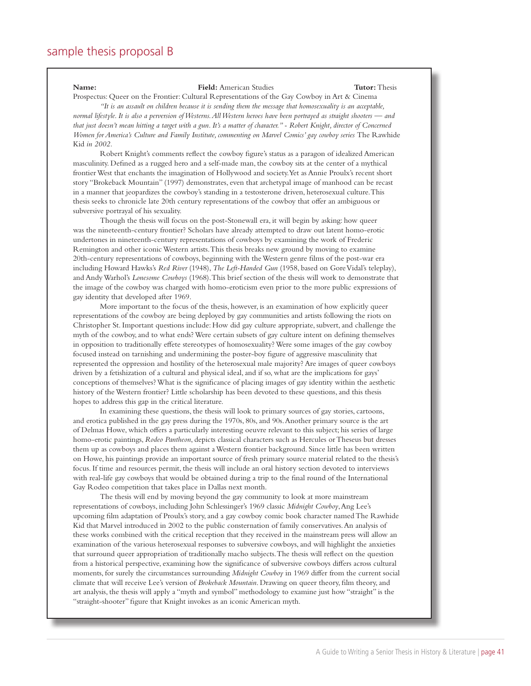#### **Name: Field:** American Studies **Tutor:** Thesis

Prospectus: Queer on the Frontier: Cultural Representations of the Gay Cowboy in Art & Cinema *"It is an assault on children because it is sending them the message that homosexuality is an acceptable,* 

*normal lifestyle. It is also a perversion of Westerns. All Western heroes have been portrayed as straight shooters — and that just doesn't mean hitting a target with a gun. It's a matter of character." - Robert Knight, director of Concerned Women for America's Culture and Family Institute, commenting on Marvel Comics' gay cowboy series* The Rawhide Kid *in 2002.*

Robert Knight's comments reflect the cowboy figure's status as a paragon of idealized American masculinity. Defined as a rugged hero and a self-made man, the cowboy sits at the center of a mythical frontier West that enchants the imagination of Hollywood and society. Yet as Annie Proulx's recent short story "Brokeback Mountain" (1997) demonstrates, even that archetypal image of manhood can be recast in a manner that jeopardizes the cowboy's standing in a testosterone driven, heterosexual culture. This thesis seeks to chronicle late 20th century representations of the cowboy that offer an ambiguous or subversive portrayal of his sexuality.

Though the thesis will focus on the post-Stonewall era, it will begin by asking: how queer was the nineteenth-century frontier? Scholars have already attempted to draw out latent homo-erotic undertones in nineteenth-century representations of cowboys by examining the work of Frederic Remington and other iconic Western artists. This thesis breaks new ground by moving to examine 20th-century representations of cowboys, beginning with the Western genre films of the post-war era including Howard Hawks's *Red River* (1948), *The Left-Handed Gun* (1958, based on Gore Vidal's teleplay), and Andy Warhol's *Lonesome Cowboys* (1968). This brief section of the thesis will work to demonstrate that the image of the cowboy was charged with homo-eroticism even prior to the more public expressions of gay identity that developed after 1969.

More important to the focus of the thesis, however, is an examination of how explicitly queer representations of the cowboy are being deployed by gay communities and artists following the riots on Christopher St. Important questions include: How did gay culture appropriate, subvert, and challenge the myth of the cowboy, and to what ends? Were certain subsets of gay culture intent on defining themselves in opposition to traditionally effete stereotypes of homosexuality? Were some images of the gay cowboy focused instead on tarnishing and undermining the poster-boy figure of aggressive masculinity that represented the oppression and hostility of the heterosexual male majority? Are images of queer cowboys driven by a fetishization of a cultural and physical ideal, and if so, what are the implications for gays' conceptions of themselves? What is the significance of placing images of gay identity within the aesthetic history of the Western frontier? Little scholarship has been devoted to these questions, and this thesis hopes to address this gap in the critical literature.

In examining these questions, the thesis will look to primary sources of gay stories, cartoons, and erotica published in the gay press during the 1970s, 80s, and 90s. Another primary source is the art of Delmas Howe, which offers a particularly interesting oeuvre relevant to this subject; his series of large homo-erotic paintings, *Rodeo Pantheon*, depicts classical characters such as Hercules or Theseus but dresses them up as cowboys and places them against a Western frontier background. Since little has been written on Howe, his paintings provide an important source of fresh primary source material related to the thesis's focus. If time and resources permit, the thesis will include an oral history section devoted to interviews with real-life gay cowboys that would be obtained during a trip to the final round of the International Gay Rodeo competition that takes place in Dallas next month.

The thesis will end by moving beyond the gay community to look at more mainstream representations of cowboys, including John Schlessinger's 1969 classic *Midnight Cowboy*, Ang Lee's upcoming film adaptation of Proulx's story, and a gay cowboy comic book character named The Rawhide Kid that Marvel introduced in 2002 to the public consternation of family conservatives. An analysis of these works combined with the critical reception that they received in the mainstream press will allow an examination of the various heterosexual responses to subversive cowboys, and will highlight the anxieties that surround queer appropriation of traditionally macho subjects. The thesis will reflect on the question from a historical perspective, examining how the significance of subversive cowboys differs across cultural moments, for surely the circumstances surrounding *Midnight Cowboy* in 1969 differ from the current social climate that will receive Lee's version of *Brokeback Mountain*. Drawing on queer theory, film theory, and art analysis, the thesis will apply a "myth and symbol" methodology to examine just how "straight" is the "straight-shooter" figure that Knight invokes as an iconic American myth.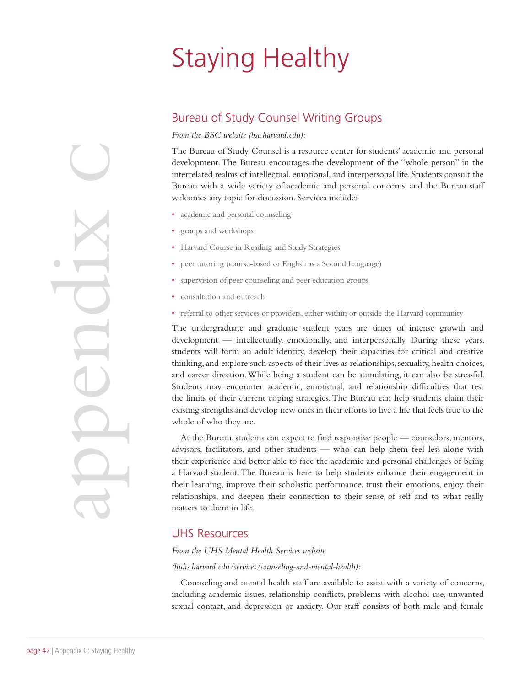# Staying Healthy

### Bureau of Study Counsel Writing Groups

*From the BSC website (bsc.harvard.edu):* 

The Bureau of Study Counsel is a resource center for students' academic and personal development. The Bureau encourages the development of the "whole person" in the interrelated realms of intellectual, emotional, and interpersonal life. Students consult the Bureau with a wide variety of academic and personal concerns, and the Bureau staff welcomes any topic for discussion. Services include:

- academic and personal counseling
- groups and workshops
- Harvard Course in Reading and Study Strategies
- peer tutoring (course-based or English as a Second Language)
- supervision of peer counseling and peer education groups
- consultation and outreach
- referral to other services or providers, either within or outside the Harvard community

The undergraduate and graduate student years are times of intense growth and development — intellectually, emotionally, and interpersonally. During these years, students will form an adult identity, develop their capacities for critical and creative thinking, and explore such aspects of their lives as relationships, sexuality, health choices, and career direction. While being a student can be stimulating, it can also be stressful. Students may encounter academic, emotional, and relationship difficulties that test the limits of their current coping strategies. The Bureau can help students claim their existing strengths and develop new ones in their efforts to live a life that feels true to the whole of who they are.

At the Bureau, students can expect to find responsive people — counselors, mentors, advisors, facilitators, and other students — who can help them feel less alone with their experience and better able to face the academic and personal challenges of being a Harvard student. The Bureau is here to help students enhance their engagement in their learning, improve their scholastic performance, trust their emotions, enjoy their relationships, and deepen their connection to their sense of self and to what really matters to them in life.

#### UHS Resources

#### *From the UHS Mental Health Services website*

#### *(huhs.harvard.edu/services/counseling-and-mental-health):*

Counseling and mental health staff are available to assist with a variety of concerns, including academic issues, relationship conflicts, problems with alcohol use, unwanted sexual contact, and depression or anxiety. Our staff consists of both male and female

Page 42 | Appendix C: Staying Healthy  $\bigcup$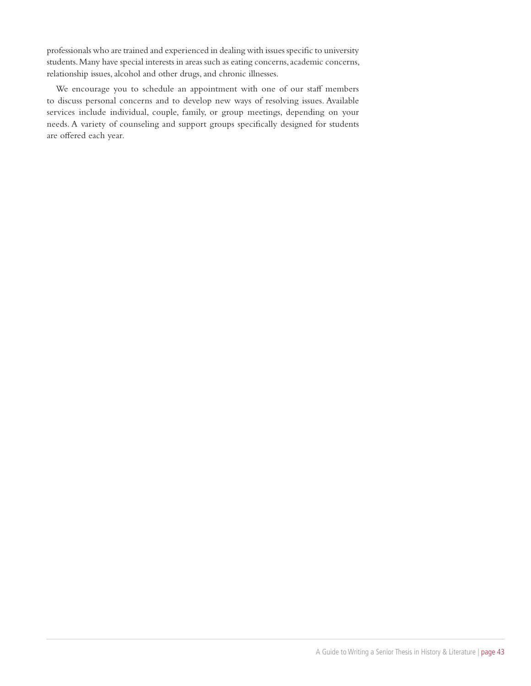professionals who are trained and experienced in dealing with issues specific to university students. Many have special interests in areas such as eating concerns, academic concerns, relationship issues, alcohol and other drugs, and chronic illnesses.

We encourage you to schedule an appointment with one of our staff members to discuss personal concerns and to develop new ways of resolving issues. Available services include individual, couple, family, or group meetings, depending on your needs. A variety of counseling and support groups specifically designed for students are offered each year.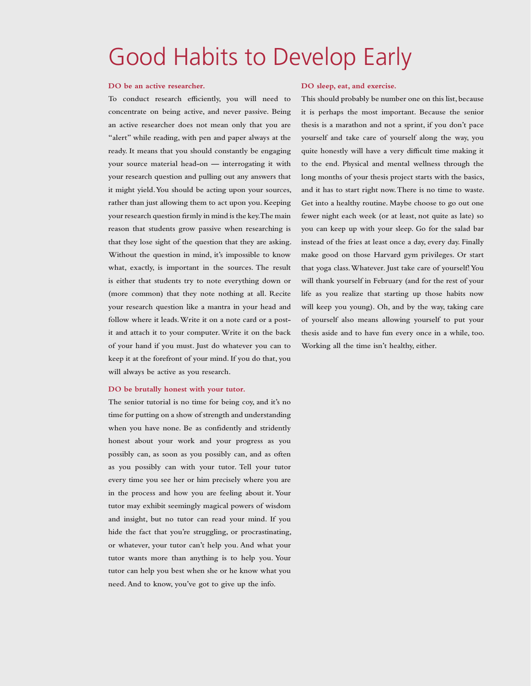## Good Habits to Develop Early

#### **DO be an active researcher.**

**To conduct research efficiently, you will need to concentrate on being active, and never passive. Being an active researcher does not mean only that you are "alert" while reading, with pen and paper always at the ready. It means that you should constantly be engaging your source material head-on — interrogating it with your research question and pulling out any answers that it might yield. You should be acting upon your sources, rather than just allowing them to act upon you. Keeping your research question firmly in mind is the key. The main reason that students grow passive when researching is that they lose sight of the question that they are asking. Without the question in mind, it's impossible to know what, exactly, is important in the sources. The result is either that students try to note everything down or (more common) that they note nothing at all. Recite your research question like a mantra in your head and follow where it leads. Write it on a note card or a postit and attach it to your computer. Write it on the back of your hand if you must. Just do whatever you can to keep it at the forefront of your mind. If you do that, you will always be active as you research.**

#### **DO be brutally honest with your tutor.**

**The senior tutorial is no time for being coy, and it's no time for putting on a show of strength and understanding when you have none. Be as confidently and stridently honest about your work and your progress as you possibly can, as soon as you possibly can, and as often as you possibly can with your tutor. Tell your tutor every time you see her or him precisely where you are in the process and how you are feeling about it. Your tutor may exhibit seemingly magical powers of wisdom and insight, but no tutor can read your mind. If you hide the fact that you're struggling, or procrastinating, or whatever, your tutor can't help you. And what your tutor wants more than anything is to help you. Your tutor can help you best when she or he know what you need. And to know, you've got to give up the info.**

#### **DO sleep, eat, and exercise.**

**This should probably be number one on this list, because it is perhaps the most important. Because the senior thesis is a marathon and not a sprint, if you don't pace yourself and take care of yourself along the way, you quite honestly will have a very difficult time making it to the end. Physical and mental wellness through the long months of your thesis project starts with the basics, and it has to start right now. There is no time to waste. Get into a healthy routine. Maybe choose to go out one fewer night each week (or at least, not quite as late) so you can keep up with your sleep. Go for the salad bar instead of the fries at least once a day, every day. Finally make good on those Harvard gym privileges. Or start that yoga class. Whatever. Just take care of yourself! You will thank yourself in February (and for the rest of your life as you realize that starting up those habits now will keep you young). Oh, and by the way, taking care of yourself also means allowing yourself to put your thesis aside and to have fun every once in a while, too. Working all the time isn't healthy, either.**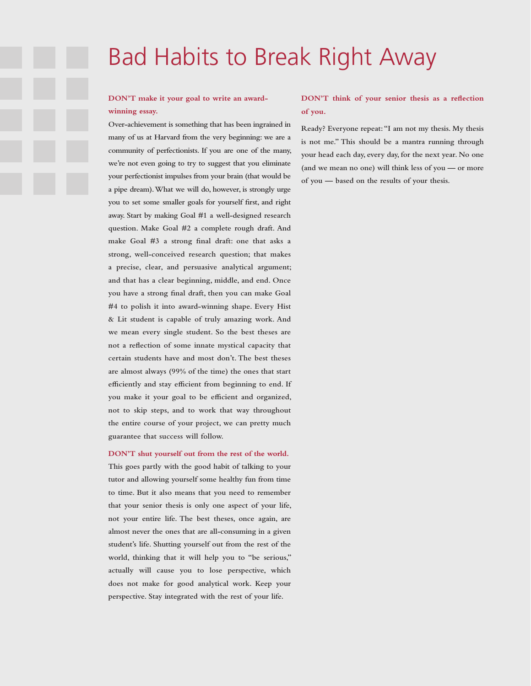## Bad Habits to Break Right Away

#### **DON'T make it your goal to write an awardwinning essay.**

**Over-achievement is something that has been ingrained in many of us at Harvard from the very beginning: we are a community of perfectionists. If you are one of the many, we're not even going to try to suggest that you eliminate your perfectionist impulses from your brain (that would be a pipe dream). What we will do, however, is strongly urge you to set some smaller goals for yourself first, and right away. Start by making Goal #1 a well-designed research question. Make Goal #2 a complete rough draft. And make Goal #3 a strong final draft: one that asks a strong, well-conceived research question; that makes a precise, clear, and persuasive analytical argument; and that has a clear beginning, middle, and end. Once you have a strong final draft, then you can make Goal #4 to polish it into award-winning shape. Every Hist & Lit student is capable of truly amazing work. And we mean every single student. So the best theses are not a reflection of some innate mystical capacity that certain students have and most don't. The best theses are almost always (99% of the time) the ones that start efficiently and stay efficient from beginning to end. If you make it your goal to be efficient and organized, not to skip steps, and to work that way throughout the entire course of your project, we can pretty much guarantee that success will follow.**

**DON'T shut yourself out from the rest of the world. This goes partly with the good habit of talking to your tutor and allowing yourself some healthy fun from time to time. But it also means that you need to remember that your senior thesis is only one aspect of your life, not your entire life. The best theses, once again, are almost never the ones that are all-consuming in a given student's life. Shutting yourself out from the rest of the world, thinking that it will help you to "be serious," actually will cause you to lose perspective, which does not make for good analytical work. Keep your perspective. Stay integrated with the rest of your life.**

#### **DON'T think of your senior thesis as a reflection of you.**

**Ready? Everyone repeat: "I am not my thesis. My thesis is not me." This should be a mantra running through your head each day, every day, for the next year. No one (and we mean no one) will think less of you — or more of you — based on the results of your thesis.**